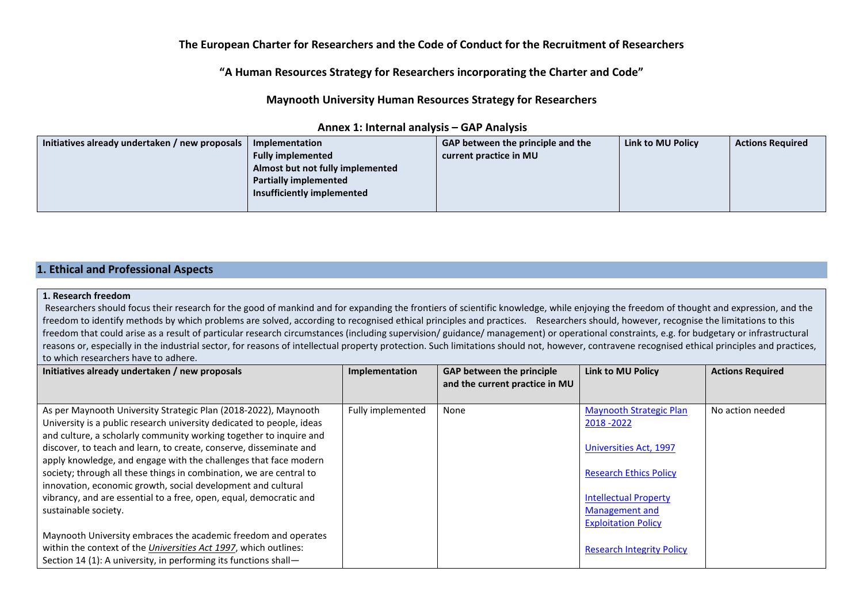# **The European Charter for Researchers and the Code of Conduct for the Recruitment of Researchers**

# **"A Human Resources Strategy for Researchers incorporating the Charter and Code"**

**Maynooth University Human Resources Strategy for Researchers**

| Initiatives already undertaken / new proposals | Implementation                   | <b>GAP between the principle and the</b> | Link to MU Policy | <b>Actions Required</b> |
|------------------------------------------------|----------------------------------|------------------------------------------|-------------------|-------------------------|
|                                                | <b>Fully implemented</b>         | current practice in MU                   |                   |                         |
|                                                | Almost but not fully implemented |                                          |                   |                         |
|                                                | <b>Partially implemented</b>     |                                          |                   |                         |
|                                                | Insufficiently implemented       |                                          |                   |                         |
|                                                |                                  |                                          |                   |                         |

## **Annex 1: Internal analysis – GAP Analysis**

# **1. Ethical and Professional Aspects**

#### **1. Research freedom**

Researchers should focus their research for the good of mankind and for expanding the frontiers of scientific knowledge, while enjoying the freedom of thought and expression, and the freedom to identify methods by which problems are solved, according to recognised ethical principles and practices. Researchers should, however, recognise the limitations to this freedom that could arise as a result of particular research circumstances (including supervision/ guidance/ management) or operational constraints, e.g. for budgetary or infrastructural reasons or, especially in the industrial sector, for reasons of intellectual property protection. Such limitations should not, however, contravene recognised ethical principles and practices, to which researchers have to adhere.

| Initiatives already undertaken / new proposals                           | Implementation    | <b>GAP between the principle</b><br>and the current practice in MU | Link to MU Policy                | <b>Actions Required</b> |
|--------------------------------------------------------------------------|-------------------|--------------------------------------------------------------------|----------------------------------|-------------------------|
|                                                                          |                   |                                                                    |                                  |                         |
| As per Maynooth University Strategic Plan (2018-2022), Maynooth          | Fully implemented | None                                                               | <b>Maynooth Strategic Plan</b>   | No action needed        |
| University is a public research university dedicated to people, ideas    |                   |                                                                    | 2018 - 2022                      |                         |
| and culture, a scholarly community working together to inquire and       |                   |                                                                    |                                  |                         |
| discover, to teach and learn, to create, conserve, disseminate and       |                   |                                                                    | Universities Act, 1997           |                         |
| apply knowledge, and engage with the challenges that face modern         |                   |                                                                    |                                  |                         |
| society; through all these things in combination, we are central to      |                   |                                                                    | <b>Research Ethics Policy</b>    |                         |
| innovation, economic growth, social development and cultural             |                   |                                                                    |                                  |                         |
| vibrancy, and are essential to a free, open, equal, democratic and       |                   |                                                                    | <b>Intellectual Property</b>     |                         |
| sustainable society.                                                     |                   |                                                                    | Management and                   |                         |
|                                                                          |                   |                                                                    | <b>Exploitation Policy</b>       |                         |
| Maynooth University embraces the academic freedom and operates           |                   |                                                                    |                                  |                         |
| within the context of the <i>Universities Act 1997</i> , which outlines: |                   |                                                                    | <b>Research Integrity Policy</b> |                         |
| Section 14 (1): A university, in performing its functions shall-         |                   |                                                                    |                                  |                         |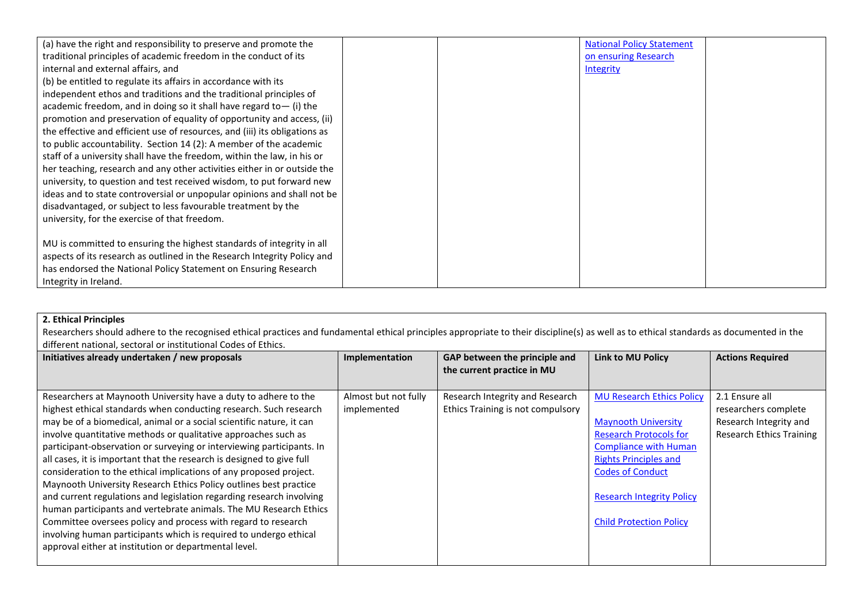| (a) have the right and responsibility to preserve and promote the                                      |  | <b>National Policy Statement</b> |  |
|--------------------------------------------------------------------------------------------------------|--|----------------------------------|--|
| traditional principles of academic freedom in the conduct of its<br>internal and external affairs, and |  | on ensuring Research             |  |
| (b) be entitled to regulate its affairs in accordance with its                                         |  | Integrity                        |  |
| independent ethos and traditions and the traditional principles of                                     |  |                                  |  |
| academic freedom, and in doing so it shall have regard to $-$ (i) the                                  |  |                                  |  |
| promotion and preservation of equality of opportunity and access, (ii)                                 |  |                                  |  |
| the effective and efficient use of resources, and (iii) its obligations as                             |  |                                  |  |
| to public accountability. Section 14 (2): A member of the academic                                     |  |                                  |  |
| staff of a university shall have the freedom, within the law, in his or                                |  |                                  |  |
| her teaching, research and any other activities either in or outside the                               |  |                                  |  |
| university, to question and test received wisdom, to put forward new                                   |  |                                  |  |
| ideas and to state controversial or unpopular opinions and shall not be                                |  |                                  |  |
| disadvantaged, or subject to less favourable treatment by the                                          |  |                                  |  |
| university, for the exercise of that freedom.                                                          |  |                                  |  |
|                                                                                                        |  |                                  |  |
| MU is committed to ensuring the highest standards of integrity in all                                  |  |                                  |  |
| aspects of its research as outlined in the Research Integrity Policy and                               |  |                                  |  |
| has endorsed the National Policy Statement on Ensuring Research                                        |  |                                  |  |
| Integrity in Ireland.                                                                                  |  |                                  |  |

# **2. Ethical Principles**

Researchers should adhere to the recognised ethical practices and fundamental ethical principles appropriate to their discipline(s) as well as to ethical standards as documented in the different national, sectoral or institutional Codes of Ethics.

| Initiatives already undertaken / new proposals                        | Implementation       | GAP between the principle and<br>the current practice in MU | <b>Link to MU Policy</b>         | <b>Actions Required</b>         |
|-----------------------------------------------------------------------|----------------------|-------------------------------------------------------------|----------------------------------|---------------------------------|
|                                                                       |                      |                                                             |                                  |                                 |
| Researchers at Maynooth University have a duty to adhere to the       | Almost but not fully | Research Integrity and Research                             | <b>MU Research Ethics Policy</b> | 2.1 Ensure all                  |
| highest ethical standards when conducting research. Such research     | implemented          | Ethics Training is not compulsory                           |                                  | researchers complete            |
| may be of a biomedical, animal or a social scientific nature, it can  |                      |                                                             | <b>Maynooth University</b>       | Research Integrity and          |
| involve quantitative methods or qualitative approaches such as        |                      |                                                             | <b>Research Protocols for</b>    | <b>Research Ethics Training</b> |
| participant-observation or surveying or interviewing participants. In |                      |                                                             | <b>Compliance with Human</b>     |                                 |
| all cases, it is important that the research is designed to give full |                      |                                                             | <b>Rights Principles and</b>     |                                 |
| consideration to the ethical implications of any proposed project.    |                      |                                                             | <b>Codes of Conduct</b>          |                                 |
| Maynooth University Research Ethics Policy outlines best practice     |                      |                                                             |                                  |                                 |
| and current regulations and legislation regarding research involving  |                      |                                                             | <b>Research Integrity Policy</b> |                                 |
| human participants and vertebrate animals. The MU Research Ethics     |                      |                                                             |                                  |                                 |
| Committee oversees policy and process with regard to research         |                      |                                                             | <b>Child Protection Policy</b>   |                                 |
| involving human participants which is required to undergo ethical     |                      |                                                             |                                  |                                 |
| approval either at institution or departmental level.                 |                      |                                                             |                                  |                                 |
|                                                                       |                      |                                                             |                                  |                                 |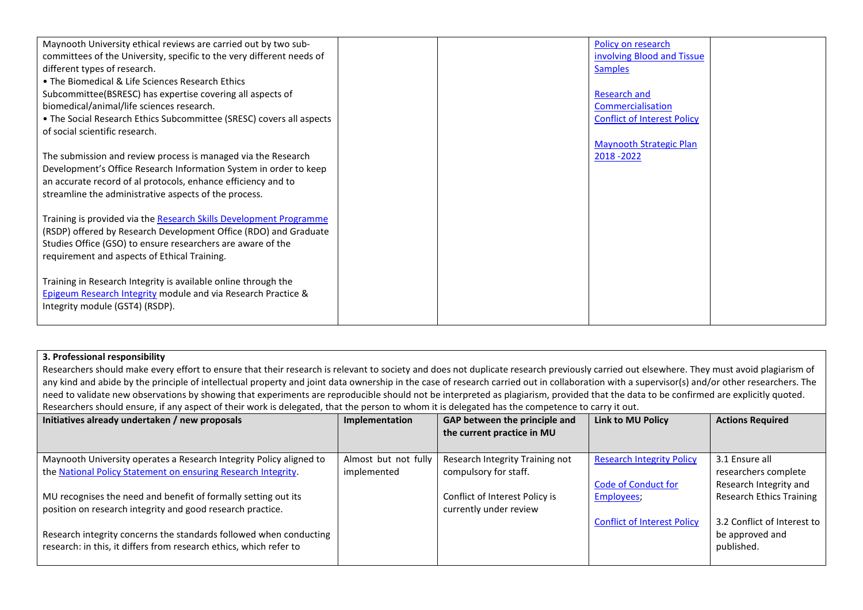| Maynooth University ethical reviews are carried out by two sub-       |  | Policy on research                 |  |
|-----------------------------------------------------------------------|--|------------------------------------|--|
| committees of the University, specific to the very different needs of |  | involving Blood and Tissue         |  |
| different types of research.                                          |  | <b>Samples</b>                     |  |
| • The Biomedical & Life Sciences Research Ethics                      |  |                                    |  |
| Subcommittee(BSRESC) has expertise covering all aspects of            |  | Research and                       |  |
|                                                                       |  |                                    |  |
| biomedical/animal/life sciences research.                             |  | Commercialisation                  |  |
| . The Social Research Ethics Subcommittee (SRESC) covers all aspects  |  | <b>Conflict of Interest Policy</b> |  |
| of social scientific research.                                        |  |                                    |  |
|                                                                       |  | <b>Maynooth Strategic Plan</b>     |  |
| The submission and review process is managed via the Research         |  | 2018 - 2022                        |  |
| Development's Office Research Information System in order to keep     |  |                                    |  |
|                                                                       |  |                                    |  |
| an accurate record of al protocols, enhance efficiency and to         |  |                                    |  |
| streamline the administrative aspects of the process.                 |  |                                    |  |
|                                                                       |  |                                    |  |
| Training is provided via the Research Skills Development Programme    |  |                                    |  |
| (RSDP) offered by Research Development Office (RDO) and Graduate      |  |                                    |  |
|                                                                       |  |                                    |  |
| Studies Office (GSO) to ensure researchers are aware of the           |  |                                    |  |
| requirement and aspects of Ethical Training.                          |  |                                    |  |
|                                                                       |  |                                    |  |
| Training in Research Integrity is available online through the        |  |                                    |  |
| Epigeum Research Integrity module and via Research Practice &         |  |                                    |  |
|                                                                       |  |                                    |  |
| Integrity module (GST4) (RSDP).                                       |  |                                    |  |
|                                                                       |  |                                    |  |

## **3. Professional responsibility**

Researchers should make every effort to ensure that their research is relevant to society and does not duplicate research previously carried out elsewhere. They must avoid plagiarism of any kind and abide by the principle of intellectual property and joint data ownership in the case of research carried out in collaboration with a supervisor(s) and/or other researchers. The need to validate new observations by showing that experiments are reproducible should not be interpreted as plagiarism, provided that the data to be confirmed are explicitly quoted. Researchers should ensure, if any aspect of their work is delegated, that the person to whom it is delegated has the competence to carry it out.

| Initiatives already undertaken / new proposals                      | Implementation       | GAP between the principle and<br>the current practice in MU | Link to MU Policy                  | <b>Actions Required</b>         |
|---------------------------------------------------------------------|----------------------|-------------------------------------------------------------|------------------------------------|---------------------------------|
|                                                                     |                      |                                                             |                                    |                                 |
| Maynooth University operates a Research Integrity Policy aligned to | Almost but not fully | Research Integrity Training not                             | <b>Research Integrity Policy</b>   | 3.1 Ensure all                  |
| the National Policy Statement on ensuring Research Integrity.       | implemented          | compulsory for staff.                                       |                                    | researchers complete            |
|                                                                     |                      |                                                             | <b>Code of Conduct for</b>         | Research Integrity and          |
| MU recognises the need and benefit of formally setting out its      |                      | Conflict of Interest Policy is                              | Employees,                         | <b>Research Ethics Training</b> |
| position on research integrity and good research practice.          |                      | currently under review                                      |                                    |                                 |
|                                                                     |                      |                                                             | <b>Conflict of Interest Policy</b> | 3.2 Conflict of Interest to     |
| Research integrity concerns the standards followed when conducting  |                      |                                                             |                                    | be approved and                 |
| research: in this, it differs from research ethics, which refer to  |                      |                                                             |                                    | published.                      |
|                                                                     |                      |                                                             |                                    |                                 |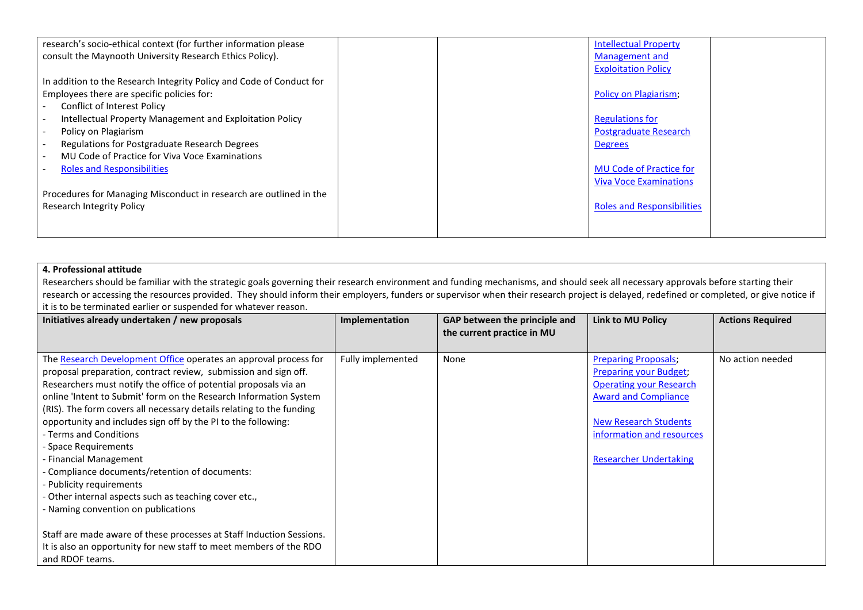| research's socio-ethical context (for further information please     | <b>Intellectual Property</b>      |
|----------------------------------------------------------------------|-----------------------------------|
| consult the Maynooth University Research Ethics Policy).             | Management and                    |
|                                                                      | <b>Exploitation Policy</b>        |
| In addition to the Research Integrity Policy and Code of Conduct for |                                   |
| Employees there are specific policies for:                           | Policy on Plagiarism;             |
| <b>Conflict of Interest Policy</b>                                   |                                   |
| Intellectual Property Management and Exploitation Policy             | <b>Regulations for</b>            |
| Policy on Plagiarism                                                 | <b>Postgraduate Research</b>      |
| Regulations for Postgraduate Research Degrees                        | <b>Degrees</b>                    |
| MU Code of Practice for Viva Voce Examinations                       |                                   |
| <b>Roles and Responsibilities</b>                                    | <b>MU Code of Practice for</b>    |
|                                                                      | <b>Viva Voce Examinations</b>     |
| Procedures for Managing Misconduct in research are outlined in the   |                                   |
| Research Integrity Policy                                            | <b>Roles and Responsibilities</b> |
|                                                                      |                                   |
|                                                                      |                                   |

# **4. Professional attitude**

Researchers should be familiar with the strategic goals governing their research environment and funding mechanisms, and should seek all necessary approvals before starting their research or accessing the resources provided. They should inform their employers, funders or supervisor when their research project is delayed, redefined or completed, or give notice if it is to be terminated earlier or suspended for whatever reason.

| Initiatives already undertaken / new proposals                       | Implementation    | GAP between the principle and | Link to MU Policy              | <b>Actions Required</b> |
|----------------------------------------------------------------------|-------------------|-------------------------------|--------------------------------|-------------------------|
|                                                                      |                   | the current practice in MU    |                                |                         |
|                                                                      |                   |                               |                                | No action needed        |
| The Research Development Office operates an approval process for     | Fully implemented | None                          | <b>Preparing Proposals;</b>    |                         |
| proposal preparation, contract review, submission and sign off.      |                   |                               | <b>Preparing your Budget:</b>  |                         |
| Researchers must notify the office of potential proposals via an     |                   |                               | <b>Operating your Research</b> |                         |
| online 'Intent to Submit' form on the Research Information System    |                   |                               | <b>Award and Compliance</b>    |                         |
| (RIS). The form covers all necessary details relating to the funding |                   |                               |                                |                         |
| opportunity and includes sign off by the PI to the following:        |                   |                               | <b>New Research Students</b>   |                         |
| - Terms and Conditions                                               |                   |                               | information and resources      |                         |
| - Space Requirements                                                 |                   |                               |                                |                         |
| <b>Financial Management</b>                                          |                   |                               | <b>Researcher Undertaking</b>  |                         |
| Compliance documents/retention of documents:                         |                   |                               |                                |                         |
| - Publicity requirements                                             |                   |                               |                                |                         |
| Other internal aspects such as teaching cover etc.,                  |                   |                               |                                |                         |
| - Naming convention on publications                                  |                   |                               |                                |                         |
|                                                                      |                   |                               |                                |                         |
| Staff are made aware of these processes at Staff Induction Sessions. |                   |                               |                                |                         |
| It is also an opportunity for new staff to meet members of the RDO   |                   |                               |                                |                         |
| and RDOF teams.                                                      |                   |                               |                                |                         |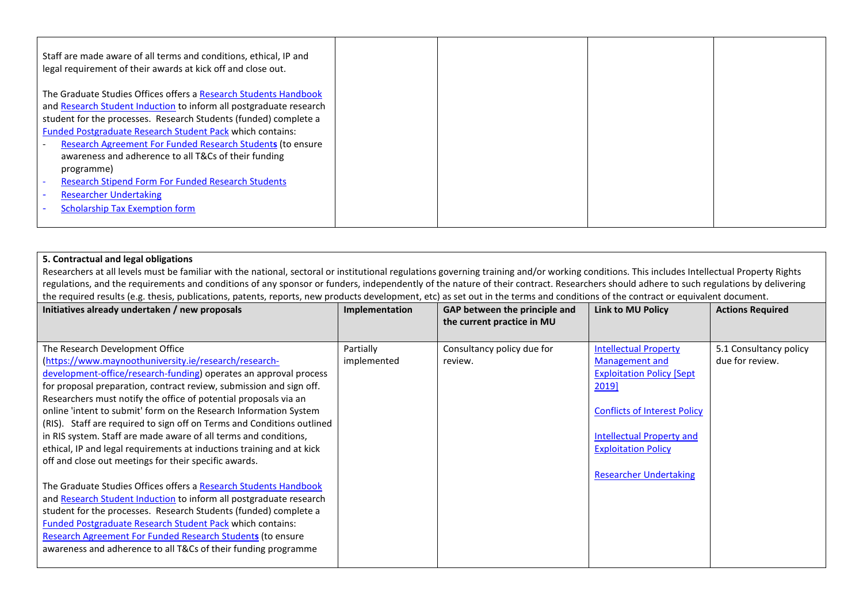| Staff are made aware of all terms and conditions, ethical, IP and<br>legal requirement of their awards at kick off and close out. |  |  |
|-----------------------------------------------------------------------------------------------------------------------------------|--|--|
| The Graduate Studies Offices offers a Research Students Handbook                                                                  |  |  |
| and Research Student Induction to inform all postgraduate research                                                                |  |  |
| student for the processes. Research Students (funded) complete a                                                                  |  |  |
| Funded Postgraduate Research Student Pack which contains:                                                                         |  |  |
| Research Agreement For Funded Research Students (to ensure                                                                        |  |  |
| awareness and adherence to all T&Cs of their funding                                                                              |  |  |
| programme)                                                                                                                        |  |  |
| <b>Research Stipend Form For Funded Research Students</b>                                                                         |  |  |
| <b>Researcher Undertaking</b>                                                                                                     |  |  |
| <b>Scholarship Tax Exemption form</b>                                                                                             |  |  |
|                                                                                                                                   |  |  |

## **5. Contractual and legal obligations**

Researchers at all levels must be familiar with the national, sectoral or institutional regulations governing training and/or working conditions. This includes Intellectual Property Rights regulations, and the requirements and conditions of any sponsor or funders, independently of the nature of their contract. Researchers should adhere to such regulations by delivering the required results (e.g. thesis, publications, patents, reports, new products development, etc) as set out in the terms and conditions of the contract or equivalent document.

| Initiatives already undertaken / new proposals                                                                                 | Implementation | GAP between the principle and<br>the current practice in MU | Link to MU Policy                   | <b>Actions Required</b> |
|--------------------------------------------------------------------------------------------------------------------------------|----------------|-------------------------------------------------------------|-------------------------------------|-------------------------|
|                                                                                                                                |                |                                                             |                                     |                         |
| The Research Development Office                                                                                                | Partially      | Consultancy policy due for                                  | <b>Intellectual Property</b>        | 5.1 Consultancy policy  |
| (https://www.maynoothuniversity.ie/research/research-                                                                          | implemented    | review.                                                     | Management and                      | due for review.         |
| development-office/research-funding) operates an approval process                                                              |                |                                                             | <b>Exploitation Policy [Sept</b>    |                         |
| for proposal preparation, contract review, submission and sign off.                                                            |                |                                                             | 2019]                               |                         |
| Researchers must notify the office of potential proposals via an                                                               |                |                                                             |                                     |                         |
| online 'intent to submit' form on the Research Information System                                                              |                |                                                             | <b>Conflicts of Interest Policy</b> |                         |
| (RIS). Staff are required to sign off on Terms and Conditions outlined                                                         |                |                                                             |                                     |                         |
| in RIS system. Staff are made aware of all terms and conditions,                                                               |                |                                                             | <b>Intellectual Property and</b>    |                         |
| ethical, IP and legal requirements at inductions training and at kick<br>off and close out meetings for their specific awards. |                |                                                             | <b>Exploitation Policy</b>          |                         |
|                                                                                                                                |                |                                                             | <b>Researcher Undertaking</b>       |                         |
| The Graduate Studies Offices offers a Research Students Handbook                                                               |                |                                                             |                                     |                         |
| and Research Student Induction to inform all postgraduate research                                                             |                |                                                             |                                     |                         |
| student for the processes. Research Students (funded) complete a                                                               |                |                                                             |                                     |                         |
| <b>Funded Postgraduate Research Student Pack which contains:</b>                                                               |                |                                                             |                                     |                         |
| <b>Research Agreement For Funded Research Students (to ensure</b>                                                              |                |                                                             |                                     |                         |
| awareness and adherence to all T&Cs of their funding programme                                                                 |                |                                                             |                                     |                         |
|                                                                                                                                |                |                                                             |                                     |                         |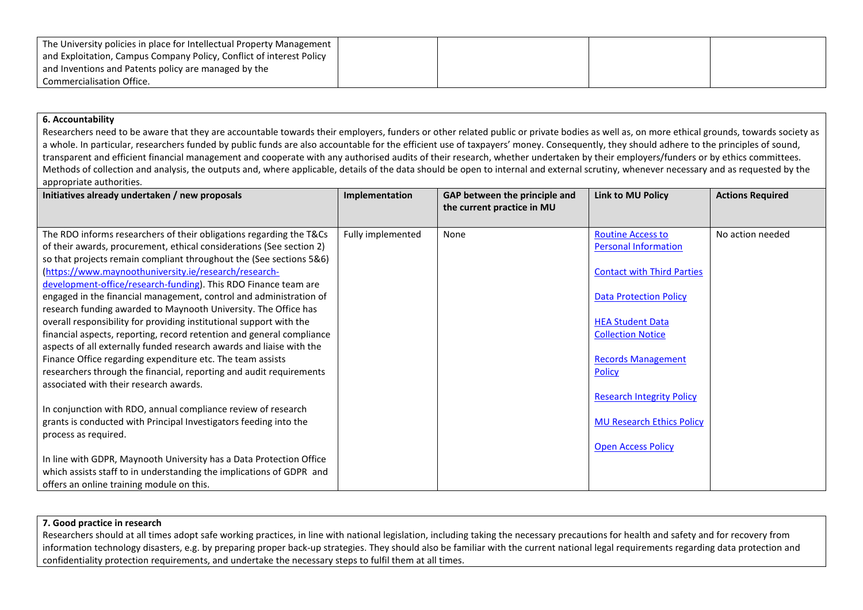| The University policies in place for Intellectual Property Management |  |  |
|-----------------------------------------------------------------------|--|--|
| and Exploitation, Campus Company Policy, Conflict of interest Policy  |  |  |
| and Inventions and Patents policy are managed by the                  |  |  |
| Commercialisation Office.                                             |  |  |

## **6. Accountability**

Researchers need to be aware that they are accountable towards their employers, funders or other related public or private bodies as well as, on more ethical grounds, towards society as a whole. In particular, researchers funded by public funds are also accountable for the efficient use of taxpayers' money. Consequently, they should adhere to the principles of sound, transparent and efficient financial management and cooperate with any authorised audits of their research, whether undertaken by their employers/funders or by ethics committees. Methods of collection and analysis, the outputs and, where applicable, details of the data should be open to internal and external scrutiny, whenever necessary and as requested by the appropriate authorities.

| Initiatives already undertaken / new proposals                                                                                                | Implementation    | GAP between the principle and<br>the current practice in MU | <b>Link to MU Policy</b>                                | <b>Actions Required</b> |
|-----------------------------------------------------------------------------------------------------------------------------------------------|-------------------|-------------------------------------------------------------|---------------------------------------------------------|-------------------------|
| The RDO informs researchers of their obligations regarding the T&Cs<br>of their awards, procurement, ethical considerations (See section 2)   | Fully implemented | None                                                        | <b>Routine Access to</b><br><b>Personal Information</b> | No action needed        |
| so that projects remain compliant throughout the (See sections 5&6)                                                                           |                   |                                                             |                                                         |                         |
| (https://www.maynoothuniversity.ie/research/research-<br>development-office/research-funding). This RDO Finance team are                      |                   |                                                             | <b>Contact with Third Parties</b>                       |                         |
| engaged in the financial management, control and administration of<br>research funding awarded to Maynooth University. The Office has         |                   |                                                             | <b>Data Protection Policy</b>                           |                         |
| overall responsibility for providing institutional support with the                                                                           |                   |                                                             | <b>HEA Student Data</b>                                 |                         |
| financial aspects, reporting, record retention and general compliance<br>aspects of all externally funded research awards and liaise with the |                   |                                                             | <b>Collection Notice</b>                                |                         |
| Finance Office regarding expenditure etc. The team assists                                                                                    |                   |                                                             | <b>Records Management</b>                               |                         |
| researchers through the financial, reporting and audit requirements<br>associated with their research awards.                                 |                   |                                                             | <b>Policy</b>                                           |                         |
|                                                                                                                                               |                   |                                                             | <b>Research Integrity Policy</b>                        |                         |
| In conjunction with RDO, annual compliance review of research                                                                                 |                   |                                                             |                                                         |                         |
| grants is conducted with Principal Investigators feeding into the                                                                             |                   |                                                             | <b>MU Research Ethics Policy</b>                        |                         |
| process as required.                                                                                                                          |                   |                                                             |                                                         |                         |
| In line with GDPR, Maynooth University has a Data Protection Office                                                                           |                   |                                                             | <b>Open Access Policy</b>                               |                         |
|                                                                                                                                               |                   |                                                             |                                                         |                         |
| which assists staff to in understanding the implications of GDPR and<br>offers an online training module on this.                             |                   |                                                             |                                                         |                         |
|                                                                                                                                               |                   |                                                             |                                                         |                         |

#### **7. Good practice in research**

Researchers should at all times adopt safe working practices, in line with national legislation, including taking the necessary precautions for health and safety and for recovery from information technology disasters, e.g. by preparing proper back-up strategies. They should also be familiar with the current national legal requirements regarding data protection and confidentiality protection requirements, and undertake the necessary steps to fulfil them at all times.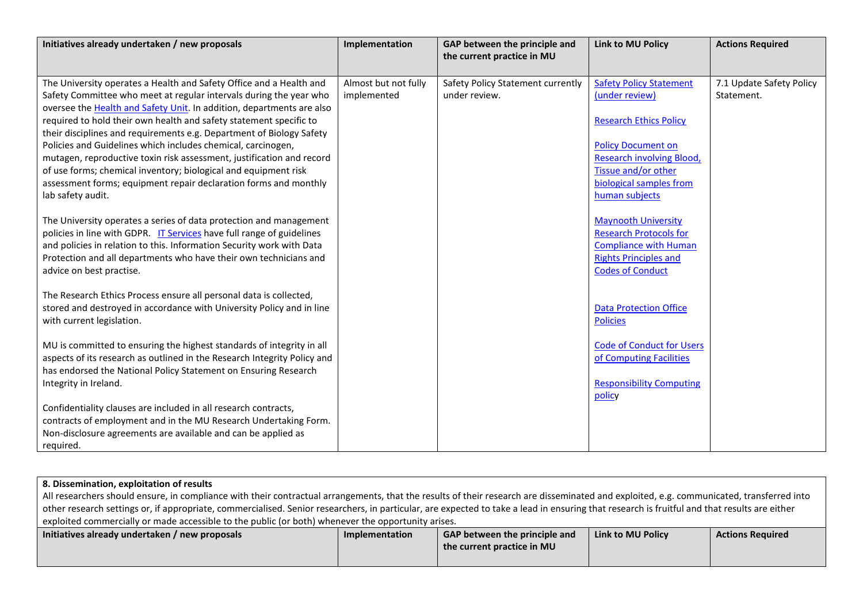| Initiatives already undertaken / new proposals                           | Implementation       | GAP between the principle and<br>the current practice in MU | <b>Link to MU Policy</b>         | <b>Actions Required</b>  |
|--------------------------------------------------------------------------|----------------------|-------------------------------------------------------------|----------------------------------|--------------------------|
|                                                                          |                      |                                                             |                                  |                          |
| The University operates a Health and Safety Office and a Health and      | Almost but not fully | Safety Policy Statement currently                           | <b>Safety Policy Statement</b>   | 7.1 Update Safety Policy |
| Safety Committee who meet at regular intervals during the year who       | implemented          | under review.                                               | (under review)                   | Statement.               |
| oversee the Health and Safety Unit. In addition, departments are also    |                      |                                                             |                                  |                          |
| required to hold their own health and safety statement specific to       |                      |                                                             | <b>Research Ethics Policy</b>    |                          |
| their disciplines and requirements e.g. Department of Biology Safety     |                      |                                                             |                                  |                          |
| Policies and Guidelines which includes chemical, carcinogen,             |                      |                                                             | <b>Policy Document on</b>        |                          |
| mutagen, reproductive toxin risk assessment, justification and record    |                      |                                                             | <b>Research involving Blood,</b> |                          |
| of use forms; chemical inventory; biological and equipment risk          |                      |                                                             | Tissue and/or other              |                          |
| assessment forms; equipment repair declaration forms and monthly         |                      |                                                             | biological samples from          |                          |
| lab safety audit.                                                        |                      |                                                             | human subjects                   |                          |
|                                                                          |                      |                                                             |                                  |                          |
| The University operates a series of data protection and management       |                      |                                                             | <b>Maynooth University</b>       |                          |
| policies in line with GDPR. IT Services have full range of guidelines    |                      |                                                             | <b>Research Protocols for</b>    |                          |
| and policies in relation to this. Information Security work with Data    |                      |                                                             | <b>Compliance with Human</b>     |                          |
| Protection and all departments who have their own technicians and        |                      |                                                             | <b>Rights Principles and</b>     |                          |
| advice on best practise.                                                 |                      |                                                             | <b>Codes of Conduct</b>          |                          |
|                                                                          |                      |                                                             |                                  |                          |
| The Research Ethics Process ensure all personal data is collected,       |                      |                                                             |                                  |                          |
| stored and destroyed in accordance with University Policy and in line    |                      |                                                             | <b>Data Protection Office</b>    |                          |
| with current legislation.                                                |                      |                                                             | <b>Policies</b>                  |                          |
|                                                                          |                      |                                                             |                                  |                          |
| MU is committed to ensuring the highest standards of integrity in all    |                      |                                                             | <b>Code of Conduct for Users</b> |                          |
| aspects of its research as outlined in the Research Integrity Policy and |                      |                                                             | of Computing Facilities          |                          |
| has endorsed the National Policy Statement on Ensuring Research          |                      |                                                             |                                  |                          |
| Integrity in Ireland.                                                    |                      |                                                             | <b>Responsibility Computing</b>  |                          |
|                                                                          |                      |                                                             | policy                           |                          |
| Confidentiality clauses are included in all research contracts,          |                      |                                                             |                                  |                          |
| contracts of employment and in the MU Research Undertaking Form.         |                      |                                                             |                                  |                          |
| Non-disclosure agreements are available and can be applied as            |                      |                                                             |                                  |                          |
| required.                                                                |                      |                                                             |                                  |                          |

| 8. Dissemination, exploitation of results                                                                                                                                                    |  |  |  |  |  |  |
|----------------------------------------------------------------------------------------------------------------------------------------------------------------------------------------------|--|--|--|--|--|--|
| All researchers should ensure, in compliance with their contractual arrangements, that the results of their research are disseminated and exploited, e.g. communicated, transferred into     |  |  |  |  |  |  |
| other research settings or, if appropriate, commercialised. Senior researchers, in particular, are expected to take a lead in ensuring that research is fruitful and that results are either |  |  |  |  |  |  |
| exploited commercially or made accessible to the public (or both) whenever the opportunity arises.                                                                                           |  |  |  |  |  |  |
| Initiatives already undertaken / new proposals<br>Link to MU Policy<br>GAP between the principle and<br>Implementation<br><b>Actions Required</b>                                            |  |  |  |  |  |  |
| the current practice in MU                                                                                                                                                                   |  |  |  |  |  |  |
|                                                                                                                                                                                              |  |  |  |  |  |  |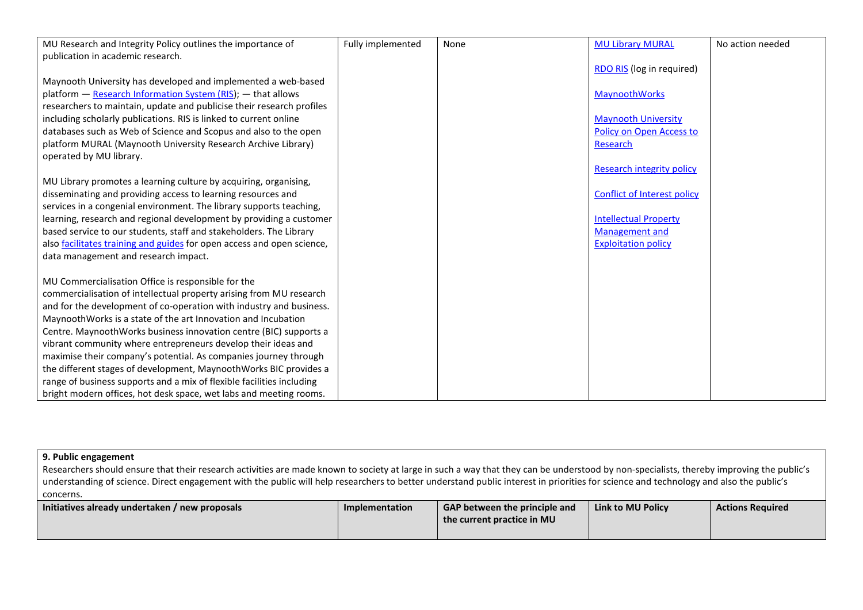| MU Research and Integrity Policy outlines the importance of            | Fully implemented | None | <b>MU Library MURAL</b>            | No action needed |
|------------------------------------------------------------------------|-------------------|------|------------------------------------|------------------|
| publication in academic research.                                      |                   |      |                                    |                  |
|                                                                        |                   |      | <b>RDO RIS</b> (log in required)   |                  |
| Maynooth University has developed and implemented a web-based          |                   |      |                                    |                  |
| platform - Research Information System (RIS); - that allows            |                   |      | MaynoothWorks                      |                  |
| researchers to maintain, update and publicise their research profiles  |                   |      |                                    |                  |
| including scholarly publications. RIS is linked to current online      |                   |      | <b>Maynooth University</b>         |                  |
| databases such as Web of Science and Scopus and also to the open       |                   |      | Policy on Open Access to           |                  |
| platform MURAL (Maynooth University Research Archive Library)          |                   |      | Research                           |                  |
| operated by MU library.                                                |                   |      |                                    |                  |
|                                                                        |                   |      | <b>Research integrity policy</b>   |                  |
| MU Library promotes a learning culture by acquiring, organising,       |                   |      |                                    |                  |
| disseminating and providing access to learning resources and           |                   |      | <b>Conflict of Interest policy</b> |                  |
| services in a congenial environment. The library supports teaching,    |                   |      |                                    |                  |
| learning, research and regional development by providing a customer    |                   |      | <b>Intellectual Property</b>       |                  |
| based service to our students, staff and stakeholders. The Library     |                   |      | Management and                     |                  |
| also facilitates training and guides for open access and open science, |                   |      | <b>Exploitation policy</b>         |                  |
| data management and research impact.                                   |                   |      |                                    |                  |
|                                                                        |                   |      |                                    |                  |
| MU Commercialisation Office is responsible for the                     |                   |      |                                    |                  |
| commercialisation of intellectual property arising from MU research    |                   |      |                                    |                  |
| and for the development of co-operation with industry and business.    |                   |      |                                    |                  |
| Maynooth Works is a state of the art Innovation and Incubation         |                   |      |                                    |                  |
| Centre. MaynoothWorks business innovation centre (BIC) supports a      |                   |      |                                    |                  |
| vibrant community where entrepreneurs develop their ideas and          |                   |      |                                    |                  |
| maximise their company's potential. As companies journey through       |                   |      |                                    |                  |
| the different stages of development, MaynoothWorks BIC provides a      |                   |      |                                    |                  |
| range of business supports and a mix of flexible facilities including  |                   |      |                                    |                  |
| bright modern offices, hot desk space, wet labs and meeting rooms.     |                   |      |                                    |                  |

# **9. Public engagement**

Researchers should ensure that their research activities are made known to society at large in such a way that they can be understood by non-specialists, thereby improving the public's understanding of science. Direct engagement with the public will help researchers to better understand public interest in priorities for science and technology and also the public's concerns.

| Initiatives already undertaken / new proposals | Implementation | <b>GAP between the principle and</b><br>the current practice in MU | Link to MU Policy | <b>Actions Required</b> |
|------------------------------------------------|----------------|--------------------------------------------------------------------|-------------------|-------------------------|
|                                                |                |                                                                    |                   |                         |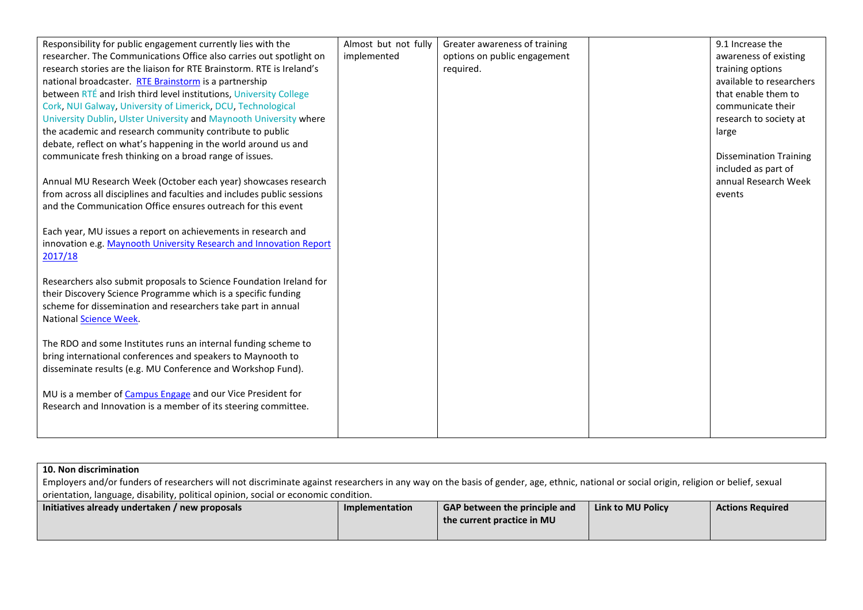| Responsibility for public engagement currently lies with the           | Almost but not fully | Greater awareness of training | 9.1 Increase the              |
|------------------------------------------------------------------------|----------------------|-------------------------------|-------------------------------|
| researcher. The Communications Office also carries out spotlight on    | implemented          | options on public engagement  | awareness of existing         |
| research stories are the liaison for RTE Brainstorm. RTE is Ireland's  |                      | required.                     | training options              |
| national broadcaster. RTE Brainstorm is a partnership                  |                      |                               | available to researchers      |
| between RTÉ and Irish third level institutions, University College     |                      |                               | that enable them to           |
| Cork, NUI Galway, University of Limerick, DCU, Technological           |                      |                               | communicate their             |
| University Dublin, Ulster University and Maynooth University where     |                      |                               | research to society at        |
| the academic and research community contribute to public               |                      |                               | large                         |
| debate, reflect on what's happening in the world around us and         |                      |                               |                               |
| communicate fresh thinking on a broad range of issues.                 |                      |                               | <b>Dissemination Training</b> |
|                                                                        |                      |                               | included as part of           |
| Annual MU Research Week (October each year) showcases research         |                      |                               | annual Research Week          |
| from across all disciplines and faculties and includes public sessions |                      |                               | events                        |
| and the Communication Office ensures outreach for this event           |                      |                               |                               |
|                                                                        |                      |                               |                               |
| Each year, MU issues a report on achievements in research and          |                      |                               |                               |
| innovation e.g. Maynooth University Research and Innovation Report     |                      |                               |                               |
| 2017/18                                                                |                      |                               |                               |
|                                                                        |                      |                               |                               |
| Researchers also submit proposals to Science Foundation Ireland for    |                      |                               |                               |
| their Discovery Science Programme which is a specific funding          |                      |                               |                               |
| scheme for dissemination and researchers take part in annual           |                      |                               |                               |
| National Science Week.                                                 |                      |                               |                               |
|                                                                        |                      |                               |                               |
| The RDO and some Institutes runs an internal funding scheme to         |                      |                               |                               |
| bring international conferences and speakers to Maynooth to            |                      |                               |                               |
| disseminate results (e.g. MU Conference and Workshop Fund).            |                      |                               |                               |
|                                                                        |                      |                               |                               |
| MU is a member of Campus Engage and our Vice President for             |                      |                               |                               |
| Research and Innovation is a member of its steering committee.         |                      |                               |                               |
|                                                                        |                      |                               |                               |
|                                                                        |                      |                               |                               |

# **10. Non discrimination**

| Employers and/or funders of researchers will not discriminate against researchers in any way on the basis of gender, age, ethnic, national or social origin, religion or belief, sexual |                |                                      |                   |                         |  |  |
|-----------------------------------------------------------------------------------------------------------------------------------------------------------------------------------------|----------------|--------------------------------------|-------------------|-------------------------|--|--|
| <sup>1</sup> orientation, language, disability, political opinion, social or economic condition.                                                                                        |                |                                      |                   |                         |  |  |
| Initiatives already undertaken / new proposals                                                                                                                                          | Implementation | <b>GAP between the principle and</b> | Link to MU Policy | <b>Actions Required</b> |  |  |
|                                                                                                                                                                                         |                | the current practice in MU           |                   |                         |  |  |
|                                                                                                                                                                                         |                |                                      |                   |                         |  |  |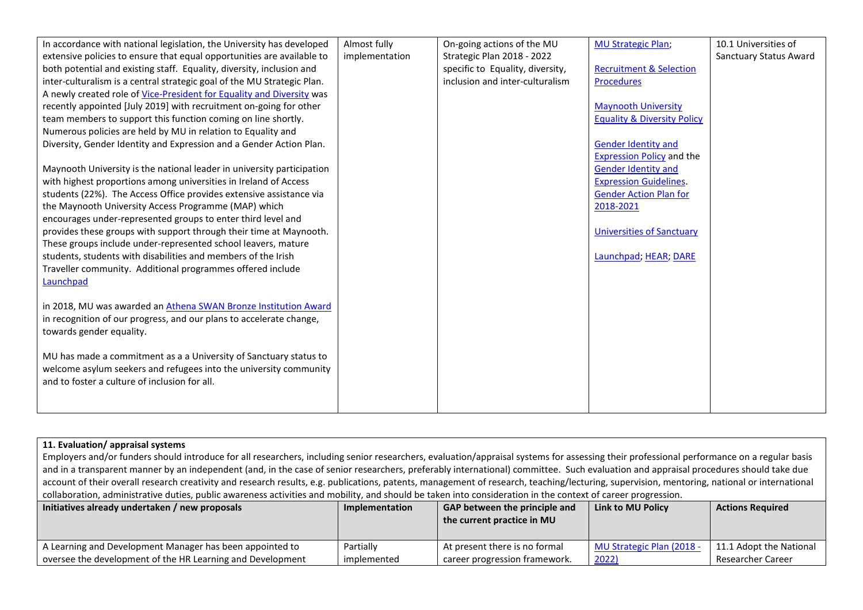| In accordance with national legislation, the University has developed   | Almost fully   | On-going actions of the MU       | <b>MU Strategic Plan;</b>              | 10.1 Universities of   |
|-------------------------------------------------------------------------|----------------|----------------------------------|----------------------------------------|------------------------|
| extensive policies to ensure that equal opportunities are available to  | implementation | Strategic Plan 2018 - 2022       |                                        | Sanctuary Status Award |
| both potential and existing staff. Equality, diversity, inclusion and   |                | specific to Equality, diversity, | <b>Recruitment &amp; Selection</b>     |                        |
| inter-culturalism is a central strategic goal of the MU Strategic Plan. |                | inclusion and inter-culturalism  | <b>Procedures</b>                      |                        |
| A newly created role of Vice-President for Equality and Diversity was   |                |                                  |                                        |                        |
| recently appointed [July 2019] with recruitment on-going for other      |                |                                  | <b>Maynooth University</b>             |                        |
| team members to support this function coming on line shortly.           |                |                                  | <b>Equality &amp; Diversity Policy</b> |                        |
| Numerous policies are held by MU in relation to Equality and            |                |                                  |                                        |                        |
| Diversity, Gender Identity and Expression and a Gender Action Plan.     |                |                                  | <b>Gender Identity and</b>             |                        |
|                                                                         |                |                                  | <b>Expression Policy and the</b>       |                        |
| Maynooth University is the national leader in university participation  |                |                                  | <b>Gender Identity and</b>             |                        |
| with highest proportions among universities in Ireland of Access        |                |                                  | <b>Expression Guidelines.</b>          |                        |
| students (22%). The Access Office provides extensive assistance via     |                |                                  | <b>Gender Action Plan for</b>          |                        |
| the Maynooth University Access Programme (MAP) which                    |                |                                  | 2018-2021                              |                        |
| encourages under-represented groups to enter third level and            |                |                                  |                                        |                        |
| provides these groups with support through their time at Maynooth.      |                |                                  | <b>Universities of Sanctuary</b>       |                        |
| These groups include under-represented school leavers, mature           |                |                                  |                                        |                        |
| students, students with disabilities and members of the Irish           |                |                                  | Launchpad; HEAR; DARE                  |                        |
| Traveller community. Additional programmes offered include              |                |                                  |                                        |                        |
| Launchpad                                                               |                |                                  |                                        |                        |
|                                                                         |                |                                  |                                        |                        |
| in 2018, MU was awarded an Athena SWAN Bronze Institution Award         |                |                                  |                                        |                        |
| in recognition of our progress, and our plans to accelerate change,     |                |                                  |                                        |                        |
| towards gender equality.                                                |                |                                  |                                        |                        |
|                                                                         |                |                                  |                                        |                        |
| MU has made a commitment as a a University of Sanctuary status to       |                |                                  |                                        |                        |
| welcome asylum seekers and refugees into the university community       |                |                                  |                                        |                        |
| and to foster a culture of inclusion for all.                           |                |                                  |                                        |                        |
|                                                                         |                |                                  |                                        |                        |
|                                                                         |                |                                  |                                        |                        |

| 11. Evaluation/ appraisal systems                                                                                                                                                                                                                                                                                                                                                                                                                                                                                                                                                                                                                                                                                                                                                                   |                |                                                             |                           |                         |
|-----------------------------------------------------------------------------------------------------------------------------------------------------------------------------------------------------------------------------------------------------------------------------------------------------------------------------------------------------------------------------------------------------------------------------------------------------------------------------------------------------------------------------------------------------------------------------------------------------------------------------------------------------------------------------------------------------------------------------------------------------------------------------------------------------|----------------|-------------------------------------------------------------|---------------------------|-------------------------|
|                                                                                                                                                                                                                                                                                                                                                                                                                                                                                                                                                                                                                                                                                                                                                                                                     |                |                                                             |                           |                         |
|                                                                                                                                                                                                                                                                                                                                                                                                                                                                                                                                                                                                                                                                                                                                                                                                     |                |                                                             |                           |                         |
|                                                                                                                                                                                                                                                                                                                                                                                                                                                                                                                                                                                                                                                                                                                                                                                                     |                |                                                             |                           |                         |
|                                                                                                                                                                                                                                                                                                                                                                                                                                                                                                                                                                                                                                                                                                                                                                                                     |                |                                                             |                           |                         |
|                                                                                                                                                                                                                                                                                                                                                                                                                                                                                                                                                                                                                                                                                                                                                                                                     |                |                                                             |                           |                         |
|                                                                                                                                                                                                                                                                                                                                                                                                                                                                                                                                                                                                                                                                                                                                                                                                     |                |                                                             |                           |                         |
|                                                                                                                                                                                                                                                                                                                                                                                                                                                                                                                                                                                                                                                                                                                                                                                                     |                |                                                             |                           |                         |
|                                                                                                                                                                                                                                                                                                                                                                                                                                                                                                                                                                                                                                                                                                                                                                                                     |                |                                                             |                           |                         |
| A Learning and Development Manager has been appointed to                                                                                                                                                                                                                                                                                                                                                                                                                                                                                                                                                                                                                                                                                                                                            | Partially      | At present there is no formal                               | MU Strategic Plan (2018 - | 11.1 Adopt the National |
| oversee the development of the HR Learning and Development                                                                                                                                                                                                                                                                                                                                                                                                                                                                                                                                                                                                                                                                                                                                          | implemented    | career progression framework.                               | 2022)                     | Researcher Career       |
| Employers and/or funders should introduce for all researchers, including senior researchers, evaluation/appraisal systems for assessing their professional performance on a regular basis<br>and in a transparent manner by an independent (and, in the case of senior researchers, preferably international) committee. Such evaluation and appraisal procedures should take due<br>account of their overall research creativity and research results, e.g. publications, patents, management of research, teaching/lecturing, supervision, mentoring, national or international<br>collaboration, administrative duties, public awareness activities and mobility, and should be taken into consideration in the context of career progression.<br>Initiatives already undertaken / new proposals | Implementation | GAP between the principle and<br>the current practice in MU | <b>Link to MU Policy</b>  | <b>Actions Required</b> |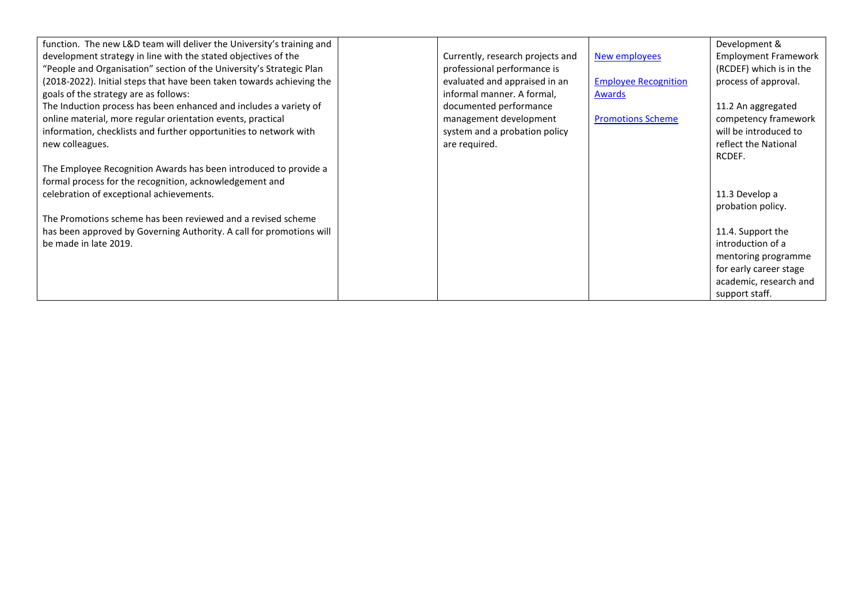| function. The new L&D team will deliver the University's training and |                                  |                             | Development &               |
|-----------------------------------------------------------------------|----------------------------------|-----------------------------|-----------------------------|
| development strategy in line with the stated objectives of the        | Currently, research projects and | New employees               | <b>Employment Framework</b> |
| "People and Organisation" section of the University's Strategic Plan  | professional performance is      |                             | (RCDEF) which is in the     |
| (2018-2022). Initial steps that have been taken towards achieving the | evaluated and appraised in an    | <b>Employee Recognition</b> | process of approval.        |
| goals of the strategy are as follows:                                 | informal manner. A formal,       | <b>Awards</b>               |                             |
| The Induction process has been enhanced and includes a variety of     | documented performance           |                             | 11.2 An aggregated          |
| online material, more regular orientation events, practical           | management development           | <b>Promotions Scheme</b>    | competency framework        |
| information, checklists and further opportunities to network with     | system and a probation policy    |                             | will be introduced to       |
| new colleagues.                                                       | are required.                    |                             | reflect the National        |
|                                                                       |                                  |                             | RCDEF.                      |
| The Employee Recognition Awards has been introduced to provide a      |                                  |                             |                             |
| formal process for the recognition, acknowledgement and               |                                  |                             |                             |
| celebration of exceptional achievements.                              |                                  |                             | 11.3 Develop a              |
|                                                                       |                                  |                             | probation policy.           |
| The Promotions scheme has been reviewed and a revised scheme          |                                  |                             |                             |
| has been approved by Governing Authority. A call for promotions will  |                                  |                             | 11.4. Support the           |
| be made in late 2019.                                                 |                                  |                             | introduction of a           |
|                                                                       |                                  |                             | mentoring programme         |
|                                                                       |                                  |                             | for early career stage      |
|                                                                       |                                  |                             | academic, research and      |
|                                                                       |                                  |                             | support staff.              |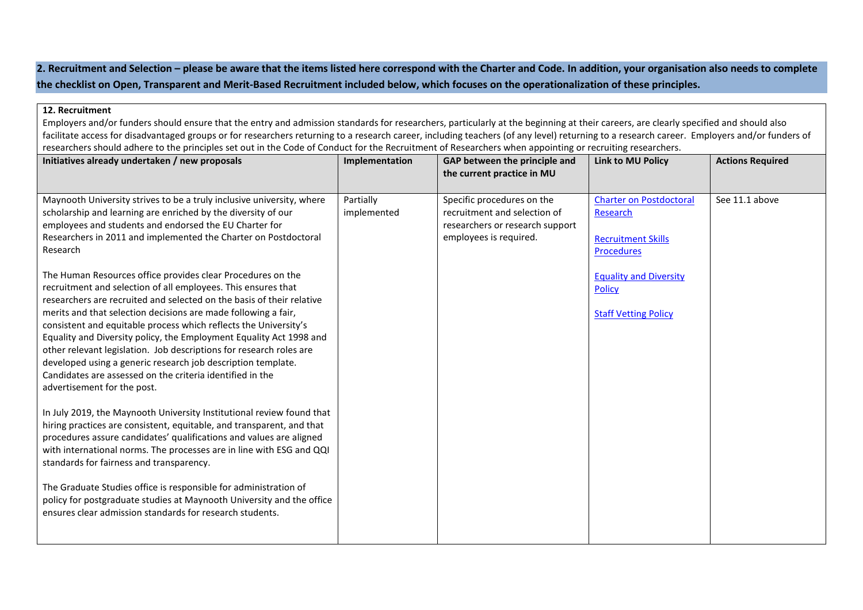**2. Recruitment and Selection – please be aware that the items listed here correspond with the Charter and Code. In addition, your organisation also needs to complete the checklist on Open, Transparent and Merit-Based Recruitment included below, which focuses on the operationalization of these principles.**

#### **12. Recruitment**

Employers and/or funders should ensure that the entry and admission standards for researchers, particularly at the beginning at their careers, are clearly specified and should also facilitate access for disadvantaged groups or for researchers returning to a research career, including teachers (of any level) returning to a research career. Employers and/or funders of researchers should adhere to the principles set out in the Code of Conduct for the Recruitment of Researchers when appointing or recruiting researchers.

| Initiatives already undertaken / new proposals                                                                                                                                                                                                                                                                                                                                                                                                                                                                        | Implementation           | GAP between the principle and<br>the current practice in MU                                                             | <b>Link to MU Policy</b>                                                                                                                       | <b>Actions Required</b> |
|-----------------------------------------------------------------------------------------------------------------------------------------------------------------------------------------------------------------------------------------------------------------------------------------------------------------------------------------------------------------------------------------------------------------------------------------------------------------------------------------------------------------------|--------------------------|-------------------------------------------------------------------------------------------------------------------------|------------------------------------------------------------------------------------------------------------------------------------------------|-------------------------|
| Maynooth University strives to be a truly inclusive university, where<br>scholarship and learning are enriched by the diversity of our<br>employees and students and endorsed the EU Charter for<br>Researchers in 2011 and implemented the Charter on Postdoctoral<br>Research<br>The Human Resources office provides clear Procedures on the<br>recruitment and selection of all employees. This ensures that                                                                                                       | Partially<br>implemented | Specific procedures on the<br>recruitment and selection of<br>researchers or research support<br>employees is required. | <b>Charter on Postdoctoral</b><br>Research<br><b>Recruitment Skills</b><br><b>Procedures</b><br><b>Equality and Diversity</b><br><b>Policy</b> | See 11.1 above          |
| researchers are recruited and selected on the basis of their relative<br>merits and that selection decisions are made following a fair,<br>consistent and equitable process which reflects the University's<br>Equality and Diversity policy, the Employment Equality Act 1998 and<br>other relevant legislation. Job descriptions for research roles are<br>developed using a generic research job description template.<br>Candidates are assessed on the criteria identified in the<br>advertisement for the post. |                          |                                                                                                                         | <b>Staff Vetting Policy</b>                                                                                                                    |                         |
| In July 2019, the Maynooth University Institutional review found that<br>hiring practices are consistent, equitable, and transparent, and that<br>procedures assure candidates' qualifications and values are aligned<br>with international norms. The processes are in line with ESG and QQI<br>standards for fairness and transparency.                                                                                                                                                                             |                          |                                                                                                                         |                                                                                                                                                |                         |
| The Graduate Studies office is responsible for administration of<br>policy for postgraduate studies at Maynooth University and the office<br>ensures clear admission standards for research students.                                                                                                                                                                                                                                                                                                                 |                          |                                                                                                                         |                                                                                                                                                |                         |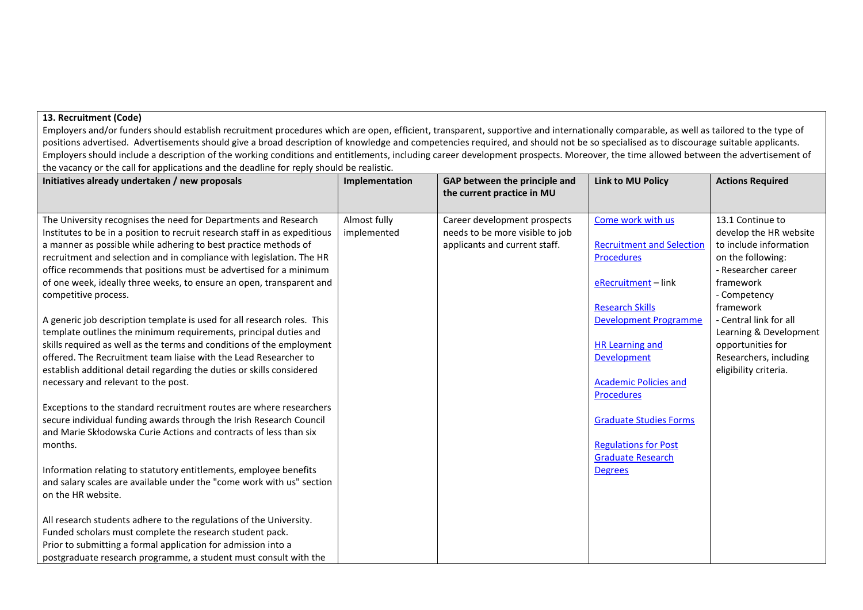### **13. Recruitment (Code)**

Employers and/or funders should establish recruitment procedures which are open, efficient, transparent, supportive and internationally comparable, as well as tailored to the type of positions advertised. Advertisements should give a broad description of knowledge and competencies required, and should not be so specialised as to discourage suitable applicants. Employers should include a description of the working conditions and entitlements, including career development prospects. Moreover, the time allowed between the advertisement of the vacancy or the call for applications and the deadline for reply should be realistic.

| Initiatives already undertaken / new proposals                             | Implementation | GAP between the principle and<br>the current practice in MU | <b>Link to MU Policy</b>         | <b>Actions Required</b> |
|----------------------------------------------------------------------------|----------------|-------------------------------------------------------------|----------------------------------|-------------------------|
| The University recognises the need for Departments and Research            | Almost fully   | Career development prospects                                | Come work with us                | 13.1 Continue to        |
| Institutes to be in a position to recruit research staff in as expeditious | implemented    | needs to be more visible to job                             |                                  | develop the HR website  |
| a manner as possible while adhering to best practice methods of            |                | applicants and current staff.                               | <b>Recruitment and Selection</b> | to include information  |
| recruitment and selection and in compliance with legislation. The HR       |                |                                                             | Procedures                       | on the following:       |
| office recommends that positions must be advertised for a minimum          |                |                                                             |                                  | - Researcher career     |
| of one week, ideally three weeks, to ensure an open, transparent and       |                |                                                             | eRecruitment-link                | framework               |
| competitive process.                                                       |                |                                                             |                                  | - Competency            |
|                                                                            |                |                                                             | <b>Research Skills</b>           | framework               |
| A generic job description template is used for all research roles. This    |                |                                                             | Development Programme            | - Central link for all  |
| template outlines the minimum requirements, principal duties and           |                |                                                             |                                  | Learning & Development  |
| skills required as well as the terms and conditions of the employment      |                |                                                             | <b>HR Learning and</b>           | opportunities for       |
| offered. The Recruitment team liaise with the Lead Researcher to           |                |                                                             | Development                      | Researchers, including  |
| establish additional detail regarding the duties or skills considered      |                |                                                             |                                  | eligibility criteria.   |
| necessary and relevant to the post.                                        |                |                                                             | <b>Academic Policies and</b>     |                         |
| Exceptions to the standard recruitment routes are where researchers        |                |                                                             | Procedures                       |                         |
| secure individual funding awards through the Irish Research Council        |                |                                                             | <b>Graduate Studies Forms</b>    |                         |
| and Marie Skłodowska Curie Actions and contracts of less than six          |                |                                                             |                                  |                         |
| months.                                                                    |                |                                                             | <b>Regulations for Post</b>      |                         |
|                                                                            |                |                                                             | <b>Graduate Research</b>         |                         |
| Information relating to statutory entitlements, employee benefits          |                |                                                             | <b>Degrees</b>                   |                         |
| and salary scales are available under the "come work with us" section      |                |                                                             |                                  |                         |
| on the HR website.                                                         |                |                                                             |                                  |                         |
|                                                                            |                |                                                             |                                  |                         |
| All research students adhere to the regulations of the University.         |                |                                                             |                                  |                         |
| Funded scholars must complete the research student pack.                   |                |                                                             |                                  |                         |
| Prior to submitting a formal application for admission into a              |                |                                                             |                                  |                         |
| postgraduate research programme, a student must consult with the           |                |                                                             |                                  |                         |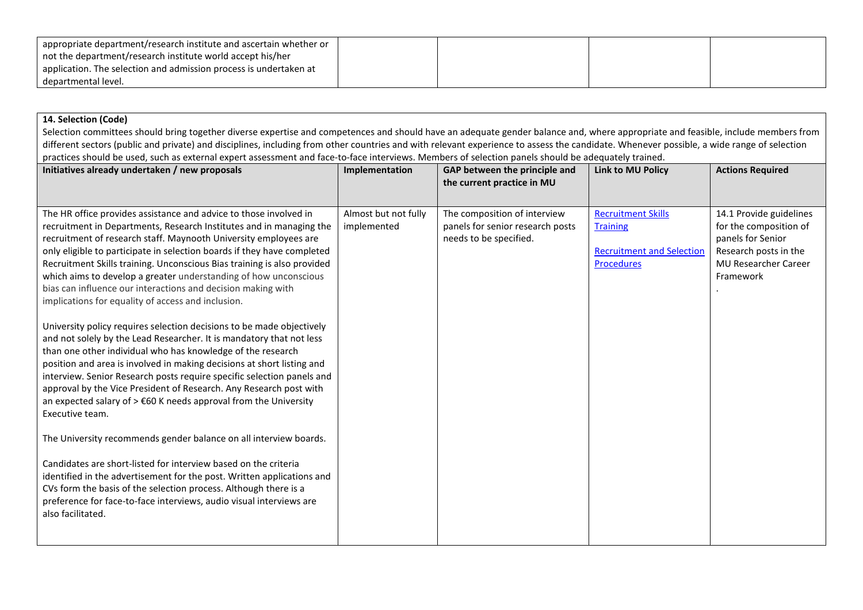| appropriate department/research institute and ascertain whether or |  |  |
|--------------------------------------------------------------------|--|--|
| not the department/research institute world accept his/her         |  |  |
| application. The selection and admission process is undertaken at  |  |  |
| departmental level.                                                |  |  |

## **14. Selection (Code)**

Selection committees should bring together diverse expertise and competences and should have an adequate gender balance and, where appropriate and feasible, include members from different sectors (public and private) and disciplines, including from other countries and with relevant experience to assess the candidate. Whenever possible, a wide range of selection practices should be used, such as external expert assessment and face-to-face interviews. Members of selection panels should be adequately trained.

| Initiatives already undertaken / new proposals                                                                                                                                                                                                                                                                                                                                                                                                                                                                                | Implementation                      | GAP between the principle and<br>the current practice in MU                                | <b>Link to MU Policy</b>                                                 | <b>Actions Required</b>                                                                                                 |
|-------------------------------------------------------------------------------------------------------------------------------------------------------------------------------------------------------------------------------------------------------------------------------------------------------------------------------------------------------------------------------------------------------------------------------------------------------------------------------------------------------------------------------|-------------------------------------|--------------------------------------------------------------------------------------------|--------------------------------------------------------------------------|-------------------------------------------------------------------------------------------------------------------------|
|                                                                                                                                                                                                                                                                                                                                                                                                                                                                                                                               |                                     |                                                                                            | <b>Recruitment Skills</b>                                                |                                                                                                                         |
| The HR office provides assistance and advice to those involved in<br>recruitment in Departments, Research Institutes and in managing the<br>recruitment of research staff. Maynooth University employees are<br>only eligible to participate in selection boards if they have completed<br>Recruitment Skills training. Unconscious Bias training is also provided                                                                                                                                                            | Almost but not fully<br>implemented | The composition of interview<br>panels for senior research posts<br>needs to be specified. | <b>Training</b><br><b>Recruitment and Selection</b><br><b>Procedures</b> | 14.1 Provide guidelines<br>for the composition of<br>panels for Senior<br>Research posts in the<br>MU Researcher Career |
| which aims to develop a greater understanding of how unconscious<br>bias can influence our interactions and decision making with<br>implications for equality of access and inclusion.                                                                                                                                                                                                                                                                                                                                        |                                     |                                                                                            |                                                                          | Framework                                                                                                               |
| University policy requires selection decisions to be made objectively<br>and not solely by the Lead Researcher. It is mandatory that not less<br>than one other individual who has knowledge of the research<br>position and area is involved in making decisions at short listing and<br>interview. Senior Research posts require specific selection panels and<br>approval by the Vice President of Research. Any Research post with<br>an expected salary of > €60 K needs approval from the University<br>Executive team. |                                     |                                                                                            |                                                                          |                                                                                                                         |
| The University recommends gender balance on all interview boards.                                                                                                                                                                                                                                                                                                                                                                                                                                                             |                                     |                                                                                            |                                                                          |                                                                                                                         |
| Candidates are short-listed for interview based on the criteria<br>identified in the advertisement for the post. Written applications and<br>CVs form the basis of the selection process. Although there is a<br>preference for face-to-face interviews, audio visual interviews are<br>also facilitated.                                                                                                                                                                                                                     |                                     |                                                                                            |                                                                          |                                                                                                                         |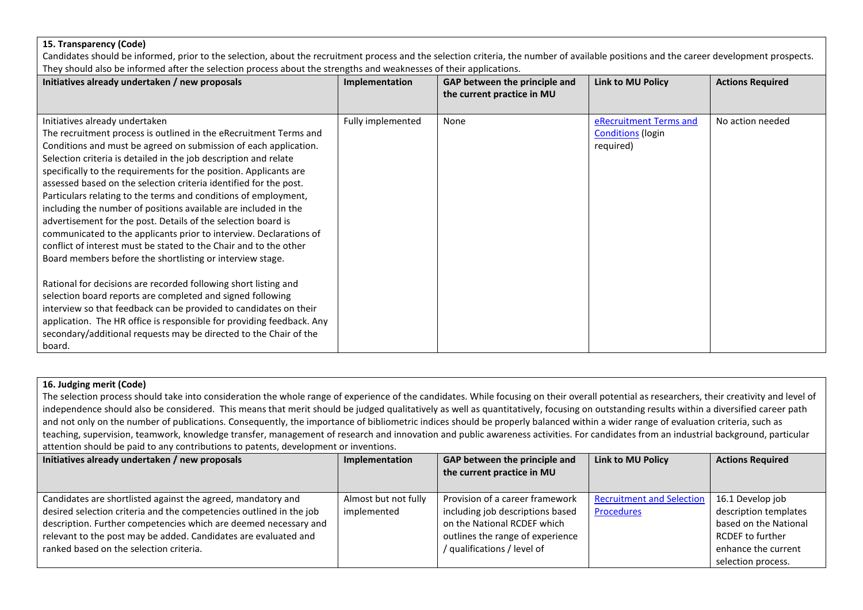### **15. Transparency (Code)**

Candidates should be informed, prior to the selection, about the recruitment process and the selection criteria, the number of available positions and the career development prospects. They should also be informed after the selection process about the strengths and weaknesses of their applications.

| Initiatives already undertaken / new proposals                                                                                                                                                                                                                                                                                                                                                                                                                                                                                                                                                                                                                                                                                                                                                       | Implementation    | GAP between the principle and<br>the current practice in MU | <b>Link to MU Policy</b>                                        | <b>Actions Required</b> |
|------------------------------------------------------------------------------------------------------------------------------------------------------------------------------------------------------------------------------------------------------------------------------------------------------------------------------------------------------------------------------------------------------------------------------------------------------------------------------------------------------------------------------------------------------------------------------------------------------------------------------------------------------------------------------------------------------------------------------------------------------------------------------------------------------|-------------------|-------------------------------------------------------------|-----------------------------------------------------------------|-------------------------|
| Initiatives already undertaken<br>The recruitment process is outlined in the eRecruitment Terms and<br>Conditions and must be agreed on submission of each application.<br>Selection criteria is detailed in the job description and relate<br>specifically to the requirements for the position. Applicants are<br>assessed based on the selection criteria identified for the post.<br>Particulars relating to the terms and conditions of employment,<br>including the number of positions available are included in the<br>advertisement for the post. Details of the selection board is<br>communicated to the applicants prior to interview. Declarations of<br>conflict of interest must be stated to the Chair and to the other<br>Board members before the shortlisting or interview stage. | Fully implemented | None                                                        | eRecruitment Terms and<br><b>Conditions</b> (login<br>required) | No action needed        |
| Rational for decisions are recorded following short listing and<br>selection board reports are completed and signed following<br>interview so that feedback can be provided to candidates on their<br>application. The HR office is responsible for providing feedback. Any<br>secondary/additional requests may be directed to the Chair of the<br>board.                                                                                                                                                                                                                                                                                                                                                                                                                                           |                   |                                                             |                                                                 |                         |

# **16. Judging merit (Code)**

The selection process should take into consideration the whole range of experience of the candidates. While focusing on their overall potential as researchers, their creativity and level of independence should also be considered. This means that merit should be judged qualitatively as well as quantitatively, focusing on outstanding results within a diversified career path and not only on the number of publications. Consequently, the importance of bibliometric indices should be properly balanced within a wider range of evaluation criteria, such as teaching, supervision, teamwork, knowledge transfer, management of research and innovation and public awareness activities. For candidates from an industrial background, particular attention should be paid to any contributions to patents, development or inventions.

| Initiatives already undertaken / new proposals                      | Implementation       | GAP between the principle and    | <b>Link to MU Policy</b>         | <b>Actions Required</b> |
|---------------------------------------------------------------------|----------------------|----------------------------------|----------------------------------|-------------------------|
|                                                                     |                      | the current practice in MU       |                                  |                         |
|                                                                     |                      |                                  |                                  |                         |
| Candidates are shortlisted against the agreed, mandatory and        | Almost but not fully | Provision of a career framework  | <b>Recruitment and Selection</b> | 16.1 Develop job        |
| desired selection criteria and the competencies outlined in the job | implemented          | including job descriptions based | <b>Procedures</b>                | description templates   |
| description. Further competencies which are deemed necessary and    |                      | on the National RCDEF which      |                                  | based on the National   |
| relevant to the post may be added. Candidates are evaluated and     |                      | outlines the range of experience |                                  | <b>RCDEF</b> to further |
| ranked based on the selection criteria.                             |                      | / qualifications / level of      |                                  | enhance the current     |
|                                                                     |                      |                                  |                                  | selection process.      |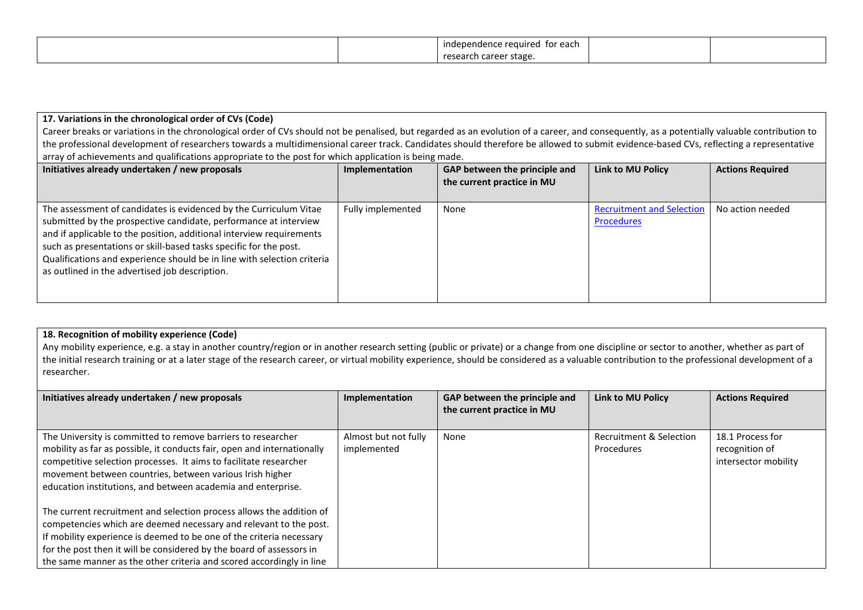|  | for each<br>red.<br>re<br>endence<br>11 I U F<br>. |  |
|--|----------------------------------------------------|--|
|  | ነ career stage<br>rese                             |  |

## **17. Variations in the chronological order of CVs (Code)**

Career breaks or variations in the chronological order of CVs should not be penalised, but regarded as an evolution of a career, and consequently, as a potentially valuable contribution to the professional development of researchers towards a multidimensional career track. Candidates should therefore be allowed to submit evidence-based CVs, reflecting a representative array of achievements and qualifications appropriate to the post for which application is being made.

| Initiatives already undertaken / new proposals                                                                                                                                                                                                                                                                                                                                                                  | Implementation    | GAP between the principle and<br>the current practice in MU | Link to MU Policy                              | <b>Actions Required</b> |
|-----------------------------------------------------------------------------------------------------------------------------------------------------------------------------------------------------------------------------------------------------------------------------------------------------------------------------------------------------------------------------------------------------------------|-------------------|-------------------------------------------------------------|------------------------------------------------|-------------------------|
| The assessment of candidates is evidenced by the Curriculum Vitae<br>submitted by the prospective candidate, performance at interview<br>and if applicable to the position, additional interview requirements<br>such as presentations or skill-based tasks specific for the post.<br>Qualifications and experience should be in line with selection criteria<br>as outlined in the advertised job description. | Fully implemented | None                                                        | <b>Recruitment and Selection</b><br>Procedures | No action needed        |

## **18. Recognition of mobility experience (Code)**

Any mobility experience, e.g. a stay in another country/region or in another research setting (public or private) or a change from one discipline or sector to another, whether as part of the initial research training or at a later stage of the research career, or virtual mobility experience, should be considered as a valuable contribution to the professional development of a researcher.

| Initiatives already undertaken / new proposals                                                                                                                                                                                                                                                                                                                    | Implementation                      | GAP between the principle and<br>the current practice in MU | <b>Link to MU Policy</b>              | <b>Actions Required</b>                                    |
|-------------------------------------------------------------------------------------------------------------------------------------------------------------------------------------------------------------------------------------------------------------------------------------------------------------------------------------------------------------------|-------------------------------------|-------------------------------------------------------------|---------------------------------------|------------------------------------------------------------|
| The University is committed to remove barriers to researcher<br>mobility as far as possible, it conducts fair, open and internationally<br>competitive selection processes. It aims to facilitate researcher<br>movement between countries, between various Irish higher<br>education institutions, and between academia and enterprise.                          | Almost but not fully<br>implemented | None                                                        | Recruitment & Selection<br>Procedures | 18.1 Process for<br>recognition of<br>intersector mobility |
| The current recruitment and selection process allows the addition of<br>competencies which are deemed necessary and relevant to the post.<br>If mobility experience is deemed to be one of the criteria necessary<br>for the post then it will be considered by the board of assessors in<br>the same manner as the other criteria and scored accordingly in line |                                     |                                                             |                                       |                                                            |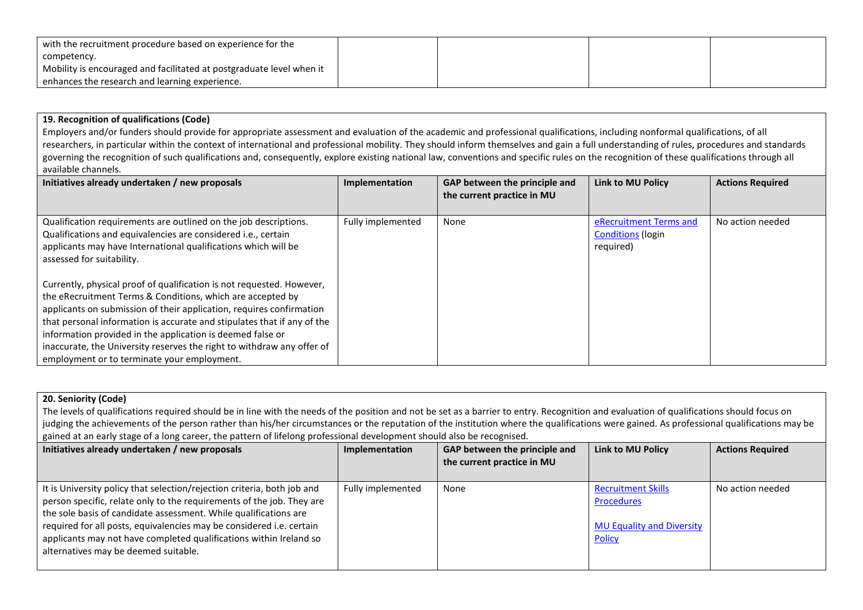| with the recruitment procedure based on experience for the $\overline{ }$ |  |  |
|---------------------------------------------------------------------------|--|--|
| competency.                                                               |  |  |
| Mobility is encouraged and facilitated at postgraduate level when it      |  |  |
| enhances the research and learning experience.                            |  |  |

**19. Recognition of qualifications (Code)**

Employers and/or funders should provide for appropriate assessment and evaluation of the academic and professional qualifications, including nonformal qualifications, of all researchers, in particular within the context of international and professional mobility. They should inform themselves and gain a full understanding of rules, procedures and standards governing the recognition of such qualifications and, consequently, explore existing national law, conventions and specific rules on the recognition of these qualifications through all available channels.

| Initiatives already undertaken / new proposals                                                                                                                                                                                                                                                                                                                                                                                                                                | Implementation    | GAP between the principle and<br>the current practice in MU | <b>Link to MU Policy</b>                                        | <b>Actions Required</b> |
|-------------------------------------------------------------------------------------------------------------------------------------------------------------------------------------------------------------------------------------------------------------------------------------------------------------------------------------------------------------------------------------------------------------------------------------------------------------------------------|-------------------|-------------------------------------------------------------|-----------------------------------------------------------------|-------------------------|
| Qualification requirements are outlined on the job descriptions.<br>Qualifications and equivalencies are considered i.e., certain<br>applicants may have International qualifications which will be<br>assessed for suitability.                                                                                                                                                                                                                                              | Fully implemented | None                                                        | eRecruitment Terms and<br><b>Conditions (login</b><br>required) | No action needed        |
| Currently, physical proof of qualification is not requested. However,<br>the eRecruitment Terms & Conditions, which are accepted by<br>applicants on submission of their application, requires confirmation<br>that personal information is accurate and stipulates that if any of the<br>information provided in the application is deemed false or<br>inaccurate, the University reserves the right to withdraw any offer of<br>employment or to terminate your employment. |                   |                                                             |                                                                 |                         |

# **20. Seniority (Code)**

The levels of qualifications required should be in line with the needs of the position and not be set as a barrier to entry. Recognition and evaluation of qualifications should focus on judging the achievements of the person rather than his/her circumstances or the reputation of the institution where the qualifications were gained. As professional qualifications may be gained at an early stage of a long career, the pattern of lifelong professional development should also be recognised.

| Initiatives already undertaken / new proposals                                                                                                                                                                                                                                                                                                                                                             | Implementation    | GAP between the principle and<br>the current practice in MU | <b>Link to MU Policy</b>                                                                            | <b>Actions Required</b> |
|------------------------------------------------------------------------------------------------------------------------------------------------------------------------------------------------------------------------------------------------------------------------------------------------------------------------------------------------------------------------------------------------------------|-------------------|-------------------------------------------------------------|-----------------------------------------------------------------------------------------------------|-------------------------|
| It is University policy that selection/rejection criteria, both job and<br>person specific, relate only to the requirements of the job. They are<br>the sole basis of candidate assessment. While qualifications are<br>required for all posts, equivalencies may be considered i.e. certain<br>applicants may not have completed qualifications within Ireland so<br>alternatives may be deemed suitable. | Fully implemented | None                                                        | <b>Recruitment Skills</b><br><b>Procedures</b><br><b>MU Equality and Diversity</b><br><b>Policy</b> | No action needed        |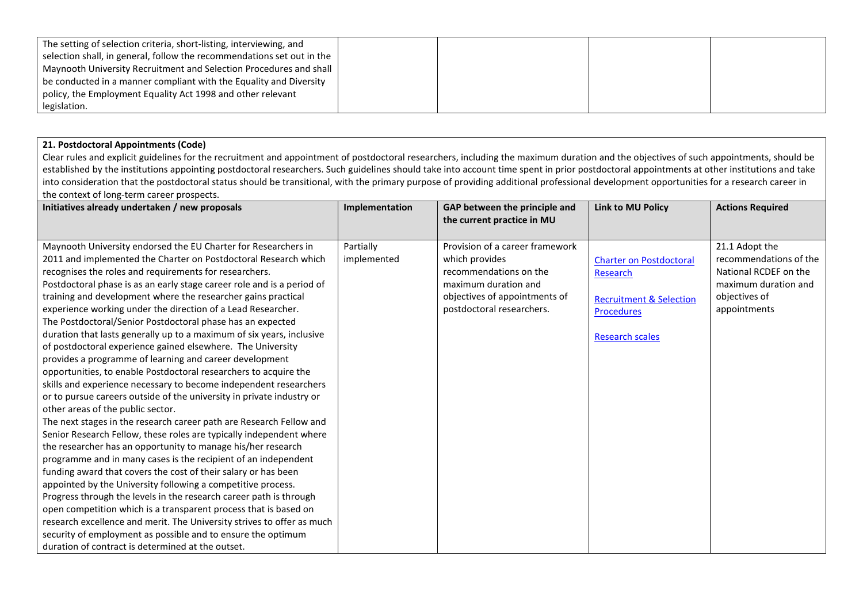| The setting of selection criteria, short-listing, interviewing, and    |  |  |
|------------------------------------------------------------------------|--|--|
| selection shall, in general, follow the recommendations set out in the |  |  |
| Maynooth University Recruitment and Selection Procedures and shall     |  |  |
| be conducted in a manner compliant with the Equality and Diversity     |  |  |
| policy, the Employment Equality Act 1998 and other relevant            |  |  |
| legislation.                                                           |  |  |

# **21. Postdoctoral Appointments (Code)**

Clear rules and explicit guidelines for the recruitment and appointment of postdoctoral researchers, including the maximum duration and the objectives of such appointments, should be established by the institutions appointing postdoctoral researchers. Such guidelines should take into account time spent in prior postdoctoral appointments at other institutions and take into consideration that the postdoctoral status should be transitional, with the primary purpose of providing additional professional development opportunities for a research career in the context of long-term career prospects.

| Initiatives already undertaken / new proposals                         | Implementation | GAP between the principle and   | <b>Link to MU Policy</b>           | <b>Actions Required</b> |
|------------------------------------------------------------------------|----------------|---------------------------------|------------------------------------|-------------------------|
|                                                                        |                | the current practice in MU      |                                    |                         |
|                                                                        |                |                                 |                                    |                         |
| Maynooth University endorsed the EU Charter for Researchers in         | Partially      | Provision of a career framework |                                    | 21.1 Adopt the          |
| 2011 and implemented the Charter on Postdoctoral Research which        | implemented    | which provides                  | <b>Charter on Postdoctoral</b>     | recommendations of the  |
| recognises the roles and requirements for researchers.                 |                | recommendations on the          | Research                           | National RCDEF on the   |
| Postdoctoral phase is as an early stage career role and is a period of |                | maximum duration and            |                                    | maximum duration and    |
| training and development where the researcher gains practical          |                | objectives of appointments of   | <b>Recruitment &amp; Selection</b> | objectives of           |
| experience working under the direction of a Lead Researcher.           |                | postdoctoral researchers.       | <b>Procedures</b>                  | appointments            |
| The Postdoctoral/Senior Postdoctoral phase has an expected             |                |                                 |                                    |                         |
| duration that lasts generally up to a maximum of six years, inclusive  |                |                                 | <b>Research scales</b>             |                         |
| of postdoctoral experience gained elsewhere. The University            |                |                                 |                                    |                         |
| provides a programme of learning and career development                |                |                                 |                                    |                         |
| opportunities, to enable Postdoctoral researchers to acquire the       |                |                                 |                                    |                         |
| skills and experience necessary to become independent researchers      |                |                                 |                                    |                         |
| or to pursue careers outside of the university in private industry or  |                |                                 |                                    |                         |
| other areas of the public sector.                                      |                |                                 |                                    |                         |
| The next stages in the research career path are Research Fellow and    |                |                                 |                                    |                         |
| Senior Research Fellow, these roles are typically independent where    |                |                                 |                                    |                         |
| the researcher has an opportunity to manage his/her research           |                |                                 |                                    |                         |
| programme and in many cases is the recipient of an independent         |                |                                 |                                    |                         |
| funding award that covers the cost of their salary or has been         |                |                                 |                                    |                         |
| appointed by the University following a competitive process.           |                |                                 |                                    |                         |
| Progress through the levels in the research career path is through     |                |                                 |                                    |                         |
| open competition which is a transparent process that is based on       |                |                                 |                                    |                         |
| research excellence and merit. The University strives to offer as much |                |                                 |                                    |                         |
| security of employment as possible and to ensure the optimum           |                |                                 |                                    |                         |
| duration of contract is determined at the outset.                      |                |                                 |                                    |                         |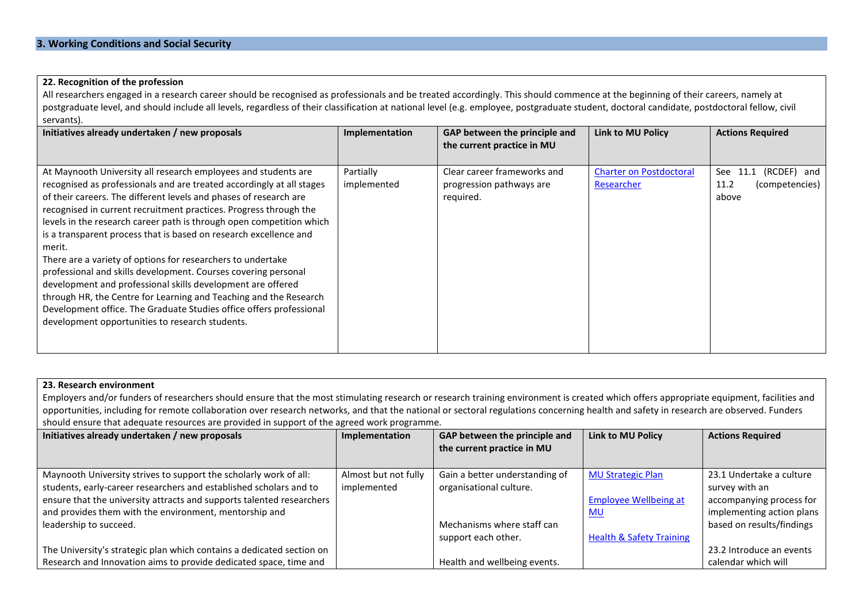#### **22. Recognition of the profession**

All researchers engaged in a research career should be recognised as professionals and be treated accordingly. This should commence at the beginning of their careers, namely at postgraduate level, and should include all levels, regardless of their classification at national level (e.g. employee, postgraduate student, doctoral candidate, postdoctoral fellow, civil servants).

| Initiatives already undertaken / new proposals                                                                                                                                                                                                                                                                                                                                                                                                                                                                                                                                                                                                                                                                                                                                                                                          | Implementation           | GAP between the principle and<br>the current practice in MU          | <b>Link to MU Policy</b>                     | <b>Actions Required</b>                                       |
|-----------------------------------------------------------------------------------------------------------------------------------------------------------------------------------------------------------------------------------------------------------------------------------------------------------------------------------------------------------------------------------------------------------------------------------------------------------------------------------------------------------------------------------------------------------------------------------------------------------------------------------------------------------------------------------------------------------------------------------------------------------------------------------------------------------------------------------------|--------------------------|----------------------------------------------------------------------|----------------------------------------------|---------------------------------------------------------------|
|                                                                                                                                                                                                                                                                                                                                                                                                                                                                                                                                                                                                                                                                                                                                                                                                                                         |                          |                                                                      |                                              |                                                               |
| At Maynooth University all research employees and students are<br>recognised as professionals and are treated accordingly at all stages<br>of their careers. The different levels and phases of research are<br>recognised in current recruitment practices. Progress through the<br>levels in the research career path is through open competition which<br>is a transparent process that is based on research excellence and<br>merit.<br>There are a variety of options for researchers to undertake<br>professional and skills development. Courses covering personal<br>development and professional skills development are offered<br>through HR, the Centre for Learning and Teaching and the Research<br>Development office. The Graduate Studies office offers professional<br>development opportunities to research students. | Partially<br>implemented | Clear career frameworks and<br>progression pathways are<br>required. | <b>Charter on Postdoctoral</b><br>Researcher | See<br>(RCDEF) and<br>11.1<br>(competencies)<br>11.2<br>above |

### **23. Research environment**

Employers and/or funders of researchers should ensure that the most stimulating research or research training environment is created which offers appropriate equipment, facilities and opportunities, including for remote collaboration over research networks, and that the national or sectoral regulations concerning health and safety in research are observed. Funders should ensure that adequate resources are provided in support of the agreed work programme.

| Initiatives already undertaken / new proposals                        | Implementation       | GAP between the principle and  | <b>Link to MU Policy</b>            | <b>Actions Required</b>   |
|-----------------------------------------------------------------------|----------------------|--------------------------------|-------------------------------------|---------------------------|
|                                                                       |                      | the current practice in MU     |                                     |                           |
|                                                                       |                      |                                |                                     |                           |
| Maynooth University strives to support the scholarly work of all:     | Almost but not fully | Gain a better understanding of | <b>MU Strategic Plan</b>            | 23.1 Undertake a culture  |
| students, early-career researchers and established scholars and to    | implemented          | organisational culture.        |                                     | survey with an            |
| ensure that the university attracts and supports talented researchers |                      |                                | <b>Employee Wellbeing at</b>        | accompanying process for  |
| and provides them with the environment, mentorship and                |                      |                                | <u>MU</u>                           | implementing action plans |
| leadership to succeed.                                                |                      | Mechanisms where staff can     |                                     | based on results/findings |
|                                                                       |                      | support each other.            | <b>Health &amp; Safety Training</b> |                           |
| The University's strategic plan which contains a dedicated section on |                      |                                |                                     | 23.2 Introduce an events  |
| Research and Innovation aims to provide dedicated space, time and     |                      | Health and wellbeing events.   |                                     | calendar which will       |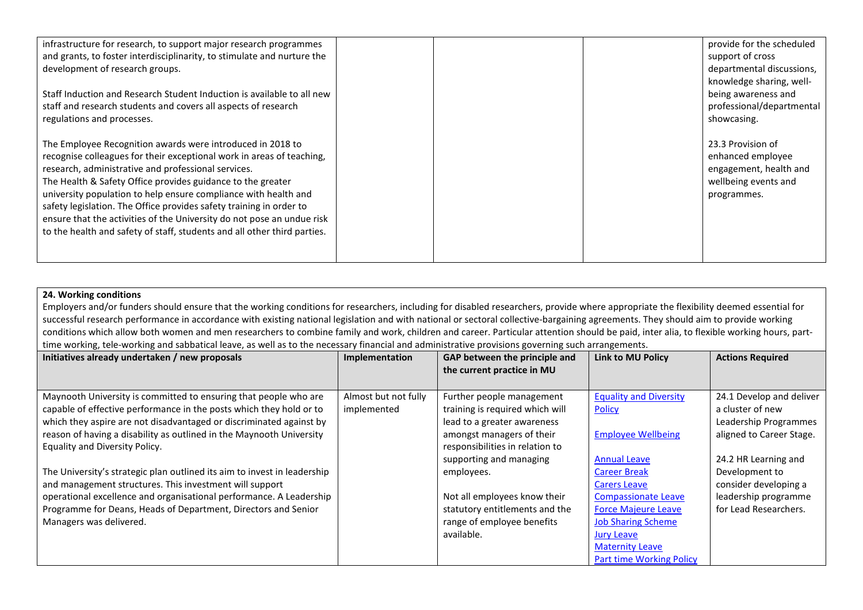| infrastructure for research, to support major research programmes<br>and grants, to foster interdisciplinarity, to stimulate and nurture the<br>development of research groups.<br>Staff Induction and Research Student Induction is available to all new<br>staff and research students and covers all aspects of research<br>regulations and processes.                                                                                                                                                                                                 | provide for the scheduled<br>support of cross<br>departmental discussions,<br>knowledge sharing, well-<br>being awareness and<br>professional/departmental<br>showcasing. |
|-----------------------------------------------------------------------------------------------------------------------------------------------------------------------------------------------------------------------------------------------------------------------------------------------------------------------------------------------------------------------------------------------------------------------------------------------------------------------------------------------------------------------------------------------------------|---------------------------------------------------------------------------------------------------------------------------------------------------------------------------|
| The Employee Recognition awards were introduced in 2018 to<br>recognise colleagues for their exceptional work in areas of teaching,<br>research, administrative and professional services.<br>The Health & Safety Office provides guidance to the greater<br>university population to help ensure compliance with health and<br>safety legislation. The Office provides safety training in order to<br>ensure that the activities of the University do not pose an undue risk<br>to the health and safety of staff, students and all other third parties. | 23.3 Provision of<br>enhanced employee<br>engagement, health and<br>wellbeing events and<br>programmes.                                                                   |

#### **24. Working conditions**

Employers and/or funders should ensure that the working conditions for researchers, including for disabled researchers, provide where appropriate the flexibility deemed essential for successful research performance in accordance with existing national legislation and with national or sectoral collective-bargaining agreements. They should aim to provide working conditions which allow both women and men researchers to combine family and work, children and career. Particular attention should be paid, inter alia, to flexible working hours, parttime working, tele-working and sabbatical leave, as well as to the necessary financial and administrative provisions governing such arrangements.

| Initiatives already undertaken / new proposals                           | Implementation       | GAP between the principle and   | <b>Link to MU Policy</b>        | <b>Actions Required</b>  |
|--------------------------------------------------------------------------|----------------------|---------------------------------|---------------------------------|--------------------------|
|                                                                          |                      | the current practice in MU      |                                 |                          |
|                                                                          |                      |                                 |                                 |                          |
| Maynooth University is committed to ensuring that people who are         | Almost but not fully | Further people management       | <b>Equality and Diversity</b>   | 24.1 Develop and deliver |
| capable of effective performance in the posts which they hold or to      | implemented          | training is required which will | <b>Policy</b>                   | a cluster of new         |
| which they aspire are not disadvantaged or discriminated against by      |                      | lead to a greater awareness     |                                 | Leadership Programmes    |
| reason of having a disability as outlined in the Maynooth University     |                      | amongst managers of their       | <b>Employee Wellbeing</b>       | aligned to Career Stage. |
| Equality and Diversity Policy.                                           |                      | responsibilities in relation to |                                 |                          |
|                                                                          |                      | supporting and managing         | <b>Annual Leave</b>             | 24.2 HR Learning and     |
| The University's strategic plan outlined its aim to invest in leadership |                      | employees.                      | <b>Career Break</b>             | Development to           |
| and management structures. This investment will support                  |                      |                                 | <b>Carers Leave</b>             | consider developing a    |
| operational excellence and organisational performance. A Leadership      |                      | Not all employees know their    | <b>Compassionate Leave</b>      | leadership programme     |
| Programme for Deans, Heads of Department, Directors and Senior           |                      | statutory entitlements and the  | <b>Force Majeure Leave</b>      | for Lead Researchers.    |
| Managers was delivered.                                                  |                      | range of employee benefits      | <b>Job Sharing Scheme</b>       |                          |
|                                                                          |                      | available.                      | <b>Jury Leave</b>               |                          |
|                                                                          |                      |                                 | <b>Maternity Leave</b>          |                          |
|                                                                          |                      |                                 | <b>Part time Working Policy</b> |                          |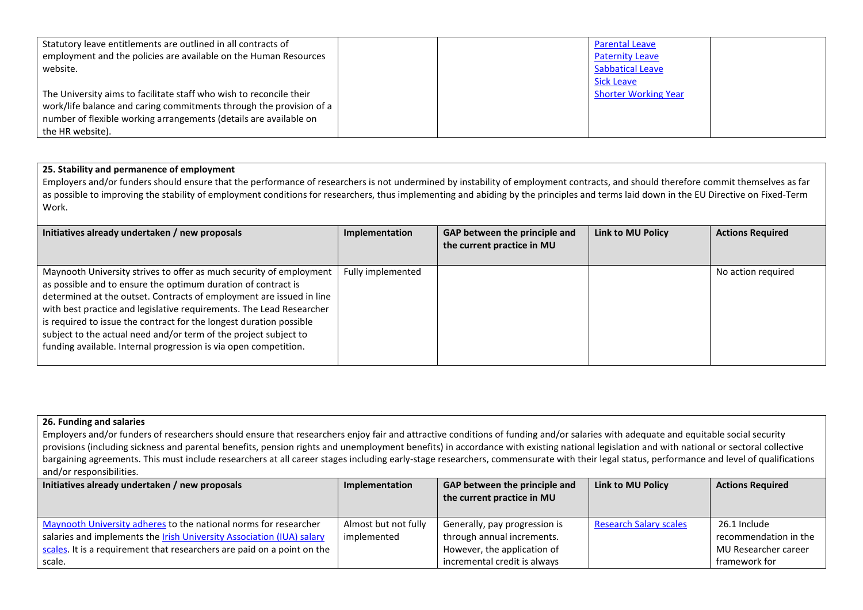| Statutory leave entitlements are outlined in all contracts of       | <b>Parental Leave</b>       |
|---------------------------------------------------------------------|-----------------------------|
| employment and the policies are available on the Human Resources    | <b>Paternity Leave</b>      |
| website.                                                            | <b>Sabbatical Leave</b>     |
|                                                                     | <b>Sick Leave</b>           |
| The University aims to facilitate staff who wish to reconcile their | <b>Shorter Working Year</b> |
| work/life balance and caring commitments through the provision of a |                             |
| number of flexible working arrangements (details are available on   |                             |
| the HR website).                                                    |                             |

## **25. Stability and permanence of employment**

Employers and/or funders should ensure that the performance of researchers is not undermined by instability of employment contracts, and should therefore commit themselves as far as possible to improving the stability of employment conditions for researchers, thus implementing and abiding by the principles and terms laid down in the EU Directive on Fixed-Term Work.

| Initiatives already undertaken / new proposals                                                                                                                                                                                                                                                                                                                                                                                                                                                      | Implementation    | GAP between the principle and<br>the current practice in MU | Link to MU Policy | <b>Actions Required</b> |
|-----------------------------------------------------------------------------------------------------------------------------------------------------------------------------------------------------------------------------------------------------------------------------------------------------------------------------------------------------------------------------------------------------------------------------------------------------------------------------------------------------|-------------------|-------------------------------------------------------------|-------------------|-------------------------|
| Maynooth University strives to offer as much security of employment<br>as possible and to ensure the optimum duration of contract is<br>determined at the outset. Contracts of employment are issued in line<br>with best practice and legislative requirements. The Lead Researcher<br>is required to issue the contract for the longest duration possible<br>subject to the actual need and/or term of the project subject to<br>funding available. Internal progression is via open competition. | Fully implemented |                                                             |                   | No action required      |

#### **26. Funding and salaries**

Employers and/or funders of researchers should ensure that researchers enjoy fair and attractive conditions of funding and/or salaries with adequate and equitable social security provisions (including sickness and parental benefits, pension rights and unemployment benefits) in accordance with existing national legislation and with national or sectoral collective bargaining agreements. This must include researchers at all career stages including early-stage researchers, commensurate with their legal status, performance and level of qualifications and/or responsibilities.

| Initiatives already undertaken / new proposals                          | Implementation       | GAP between the principle and<br>the current practice in MU | Link to MU Policy             | <b>Actions Required</b> |
|-------------------------------------------------------------------------|----------------------|-------------------------------------------------------------|-------------------------------|-------------------------|
| Maynooth University adheres to the national norms for researcher        | Almost but not fully | Generally, pay progression is                               | <b>Research Salary scales</b> | 26.1 Include            |
| salaries and implements the Irish University Association (IUA) salary   | implemented          | through annual increments.                                  |                               | recommendation in the   |
| scales. It is a requirement that researchers are paid on a point on the |                      | However, the application of                                 |                               | MU Researcher career    |
| scale.                                                                  |                      | incremental credit is always                                |                               | framework for           |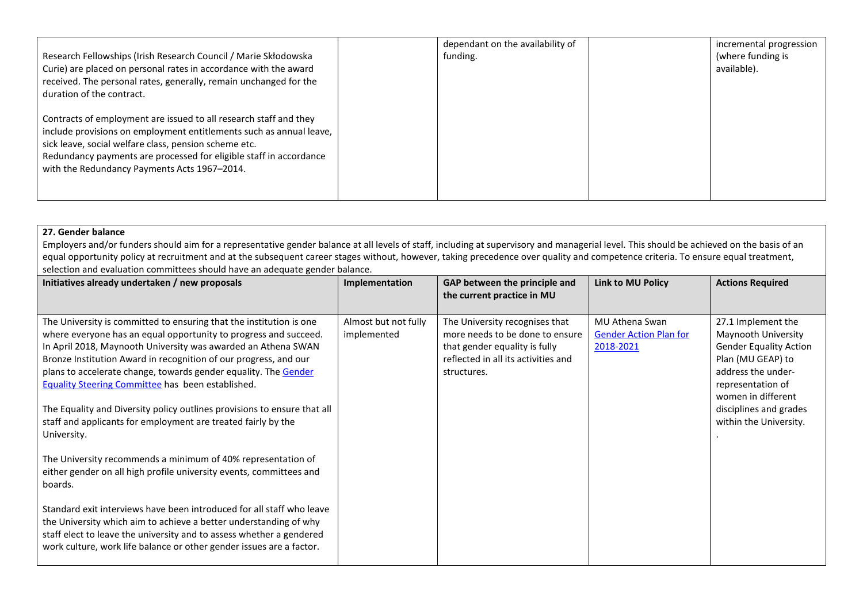| Research Fellowships (Irish Research Council / Marie Skłodowska<br>Curie) are placed on personal rates in accordance with the award<br>received. The personal rates, generally, remain unchanged for the<br>duration of the contract.                                                                                   | dependant on the availability of<br>funding. | incremental progression<br>(where funding is<br>available). |
|-------------------------------------------------------------------------------------------------------------------------------------------------------------------------------------------------------------------------------------------------------------------------------------------------------------------------|----------------------------------------------|-------------------------------------------------------------|
| Contracts of employment are issued to all research staff and they<br>include provisions on employment entitlements such as annual leave,<br>sick leave, social welfare class, pension scheme etc.<br>Redundancy payments are processed for eligible staff in accordance<br>with the Redundancy Payments Acts 1967-2014. |                                              |                                                             |

## **27. Gender balance**

Employers and/or funders should aim for a representative gender balance at all levels of staff, including at supervisory and managerial level. This should be achieved on the basis of an equal opportunity policy at recruitment and at the subsequent career stages without, however, taking precedence over quality and competence criteria. To ensure equal treatment, selection and evaluation committees should have an adequate gender balance.

| Initiatives already undertaken / new proposals                                                                                                                                                                                                                                                                                                                                                                                                                                                                                                                                                                                                                                                                                                                                                                                                                                                                                                                                                                   | Implementation                      | GAP between the principle and<br>the current practice in MU                                                                                              | Link to MU Policy                                            | <b>Actions Required</b>                                                                                                                                                                                              |
|------------------------------------------------------------------------------------------------------------------------------------------------------------------------------------------------------------------------------------------------------------------------------------------------------------------------------------------------------------------------------------------------------------------------------------------------------------------------------------------------------------------------------------------------------------------------------------------------------------------------------------------------------------------------------------------------------------------------------------------------------------------------------------------------------------------------------------------------------------------------------------------------------------------------------------------------------------------------------------------------------------------|-------------------------------------|----------------------------------------------------------------------------------------------------------------------------------------------------------|--------------------------------------------------------------|----------------------------------------------------------------------------------------------------------------------------------------------------------------------------------------------------------------------|
| The University is committed to ensuring that the institution is one<br>where everyone has an equal opportunity to progress and succeed.<br>In April 2018, Maynooth University was awarded an Athena SWAN<br>Bronze Institution Award in recognition of our progress, and our<br>plans to accelerate change, towards gender equality. The Gender<br>Equality Steering Committee has been established.<br>The Equality and Diversity policy outlines provisions to ensure that all<br>staff and applicants for employment are treated fairly by the<br>University.<br>The University recommends a minimum of 40% representation of<br>either gender on all high profile university events, committees and<br>boards.<br>Standard exit interviews have been introduced for all staff who leave<br>the University which aim to achieve a better understanding of why<br>staff elect to leave the university and to assess whether a gendered<br>work culture, work life balance or other gender issues are a factor. | Almost but not fully<br>implemented | The University recognises that<br>more needs to be done to ensure<br>that gender equality is fully<br>reflected in all its activities and<br>structures. | MU Athena Swan<br><b>Gender Action Plan for</b><br>2018-2021 | 27.1 Implement the<br>Maynooth University<br><b>Gender Equality Action</b><br>Plan (MU GEAP) to<br>address the under-<br>representation of<br>women in different<br>disciplines and grades<br>within the University. |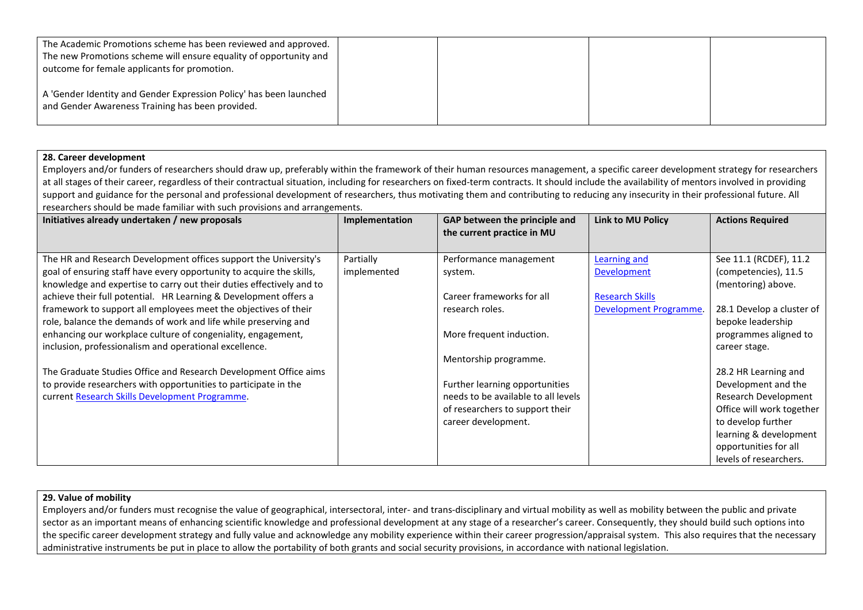| The Academic Promotions scheme has been reviewed and approved.<br>The new Promotions scheme will ensure equality of opportunity and<br>outcome for female applicants for promotion. |  |  |
|-------------------------------------------------------------------------------------------------------------------------------------------------------------------------------------|--|--|
| A 'Gender Identity and Gender Expression Policy' has been launched<br>and Gender Awareness Training has been provided.                                                              |  |  |

#### **28. Career development**

Employers and/or funders of researchers should draw up, preferably within the framework of their human resources management, a specific career development strategy for researchers at all stages of their career, regardless of their contractual situation, including for researchers on fixed-term contracts. It should include the availability of mentors involved in providing support and guidance for the personal and professional development of researchers, thus motivating them and contributing to reducing any insecurity in their professional future. All researchers should be made familiar with such provisions and arrangements.

| Initiatives already undertaken / new proposals                       | Implementation | GAP between the principle and<br>the current practice in MU | Link to MU Policy      | <b>Actions Required</b>   |
|----------------------------------------------------------------------|----------------|-------------------------------------------------------------|------------------------|---------------------------|
|                                                                      |                |                                                             |                        |                           |
| The HR and Research Development offices support the University's     | Partially      | Performance management                                      | Learning and           | See 11.1 (RCDEF), 11.2    |
| goal of ensuring staff have every opportunity to acquire the skills, | implemented    | system.                                                     | Development            | (competencies), 11.5      |
| knowledge and expertise to carry out their duties effectively and to |                |                                                             |                        | (mentoring) above.        |
| achieve their full potential. HR Learning & Development offers a     |                | Career frameworks for all                                   | <b>Research Skills</b> |                           |
| framework to support all employees meet the objectives of their      |                | research roles.                                             | Development Programme. | 28.1 Develop a cluster of |
| role, balance the demands of work and life while preserving and      |                |                                                             |                        | bepoke leadership         |
| enhancing our workplace culture of congeniality, engagement,         |                | More frequent induction.                                    |                        | programmes aligned to     |
| inclusion, professionalism and operational excellence.               |                |                                                             |                        | career stage.             |
|                                                                      |                | Mentorship programme.                                       |                        |                           |
| The Graduate Studies Office and Research Development Office aims     |                |                                                             |                        | 28.2 HR Learning and      |
| to provide researchers with opportunities to participate in the      |                | Further learning opportunities                              |                        | Development and the       |
| current Research Skills Development Programme.                       |                | needs to be available to all levels                         |                        | Research Development      |
|                                                                      |                | of researchers to support their                             |                        | Office will work together |
|                                                                      |                | career development.                                         |                        | to develop further        |
|                                                                      |                |                                                             |                        | learning & development    |
|                                                                      |                |                                                             |                        | opportunities for all     |
|                                                                      |                |                                                             |                        | levels of researchers.    |

#### **29. Value of mobility**

Employers and/or funders must recognise the value of geographical, intersectoral, inter- and trans-disciplinary and virtual mobility as well as mobility between the public and private sector as an important means of enhancing scientific knowledge and professional development at any stage of a researcher's career. Consequently, they should build such options into the specific career development strategy and fully value and acknowledge any mobility experience within their career progression/appraisal system. This also requires that the necessary administrative instruments be put in place to allow the portability of both grants and social security provisions, in accordance with national legislation.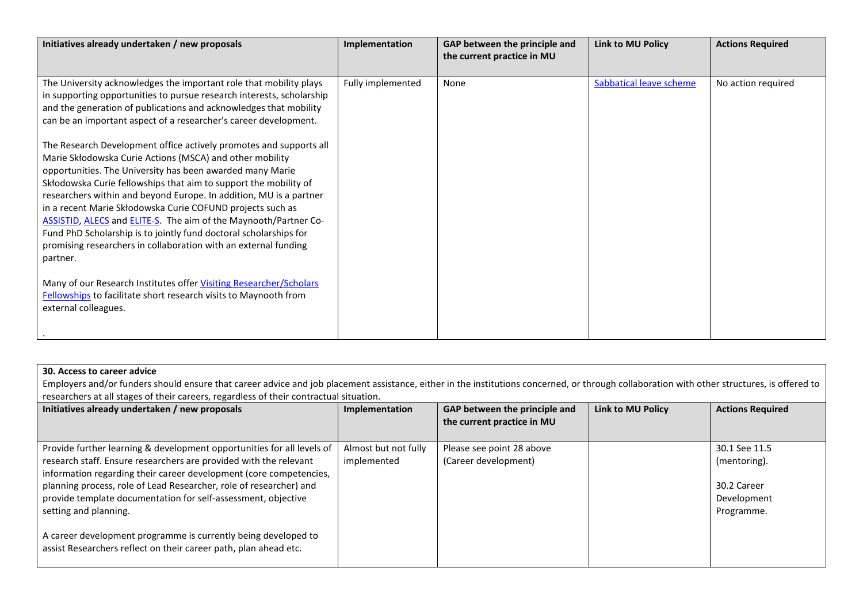| Initiatives already undertaken / new proposals                                                                                                                                                                                                                                                                                                                                                                                                                                                                                                                                                                              | Implementation    | GAP between the principle and<br>the current practice in MU | <b>Link to MU Policy</b> | <b>Actions Required</b> |
|-----------------------------------------------------------------------------------------------------------------------------------------------------------------------------------------------------------------------------------------------------------------------------------------------------------------------------------------------------------------------------------------------------------------------------------------------------------------------------------------------------------------------------------------------------------------------------------------------------------------------------|-------------------|-------------------------------------------------------------|--------------------------|-------------------------|
|                                                                                                                                                                                                                                                                                                                                                                                                                                                                                                                                                                                                                             |                   |                                                             |                          |                         |
| The University acknowledges the important role that mobility plays<br>in supporting opportunities to pursue research interests, scholarship<br>and the generation of publications and acknowledges that mobility<br>can be an important aspect of a researcher's career development.                                                                                                                                                                                                                                                                                                                                        | Fully implemented | None                                                        | Sabbatical leave scheme  | No action required      |
| The Research Development office actively promotes and supports all<br>Marie Skłodowska Curie Actions (MSCA) and other mobility<br>opportunities. The University has been awarded many Marie<br>Skłodowska Curie fellowships that aim to support the mobility of<br>researchers within and beyond Europe. In addition, MU is a partner<br>in a recent Marie Skłodowska Curie COFUND projects such as<br>ASSISTID, ALECS and ELITE-S. The aim of the Maynooth/Partner Co-<br>Fund PhD Scholarship is to jointly fund doctoral scholarships for<br>promising researchers in collaboration with an external funding<br>partner. |                   |                                                             |                          |                         |
| Many of our Research Institutes offer Visiting Researcher/Scholars<br>Fellowships to facilitate short research visits to Maynooth from<br>external colleagues.                                                                                                                                                                                                                                                                                                                                                                                                                                                              |                   |                                                             |                          |                         |

## **30. Access to career advice**

Employers and/or funders should ensure that career advice and job placement assistance, either in the institutions concerned, or through collaboration with other structures, is offered to researchers at all stages of their careers, regardless of their contractual situation.

| Initiatives already undertaken / new proposals                         | Implementation       | GAP between the principle and<br>the current practice in MU | <b>Link to MU Policy</b> | <b>Actions Required</b> |
|------------------------------------------------------------------------|----------------------|-------------------------------------------------------------|--------------------------|-------------------------|
|                                                                        |                      |                                                             |                          |                         |
| Provide further learning & development opportunities for all levels of | Almost but not fully | Please see point 28 above                                   |                          | 30.1 See 11.5           |
| research staff. Ensure researchers are provided with the relevant      | implemented          | (Career development)                                        |                          | (mentoring).            |
| information regarding their career development (core competencies,     |                      |                                                             |                          |                         |
| planning process, role of Lead Researcher, role of researcher) and     |                      |                                                             |                          | 30.2 Career             |
| provide template documentation for self-assessment, objective          |                      |                                                             |                          | Development             |
| setting and planning.                                                  |                      |                                                             |                          | Programme.              |
|                                                                        |                      |                                                             |                          |                         |
| A career development programme is currently being developed to         |                      |                                                             |                          |                         |
| assist Researchers reflect on their career path, plan ahead etc.       |                      |                                                             |                          |                         |
|                                                                        |                      |                                                             |                          |                         |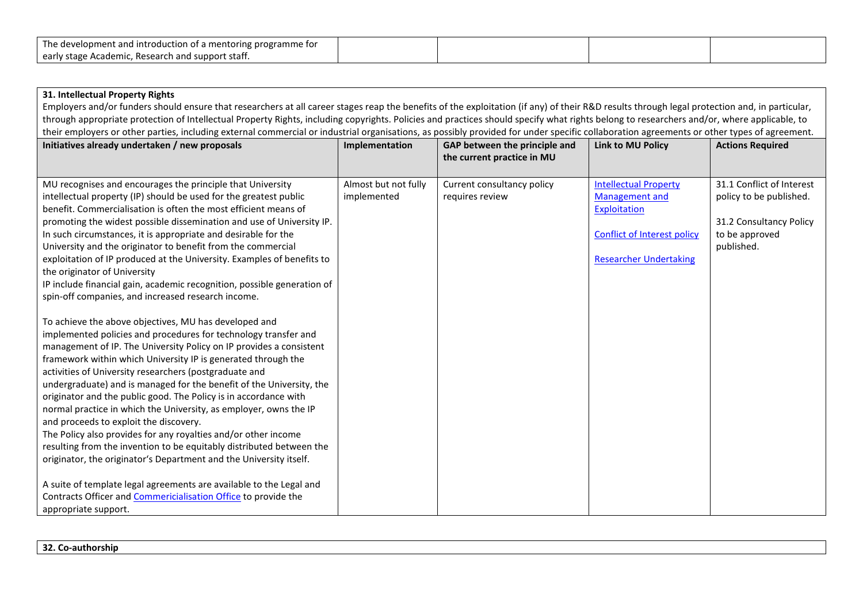| The development and introduction of a mentoring programme for |  |  |
|---------------------------------------------------------------|--|--|
| J early stage Academic, Research and support staff.           |  |  |

| 31. Intellectual Property Rights                                                                                                                                                                                                                                                                                                                                                                                                                                                                                                                                                                                                                                                                                                                                                                      |                      |                                                             |                                    |                           |
|-------------------------------------------------------------------------------------------------------------------------------------------------------------------------------------------------------------------------------------------------------------------------------------------------------------------------------------------------------------------------------------------------------------------------------------------------------------------------------------------------------------------------------------------------------------------------------------------------------------------------------------------------------------------------------------------------------------------------------------------------------------------------------------------------------|----------------------|-------------------------------------------------------------|------------------------------------|---------------------------|
| Employers and/or funders should ensure that researchers at all career stages reap the benefits of the exploitation (if any) of their R&D results through legal protection and, in particular,                                                                                                                                                                                                                                                                                                                                                                                                                                                                                                                                                                                                         |                      |                                                             |                                    |                           |
| through appropriate protection of Intellectual Property Rights, including copyrights. Policies and practices should specify what rights belong to researchers and/or, where applicable, to                                                                                                                                                                                                                                                                                                                                                                                                                                                                                                                                                                                                            |                      |                                                             |                                    |                           |
| their employers or other parties, including external commercial or industrial organisations, as possibly provided for under specific collaboration agreements or other types of agreement.                                                                                                                                                                                                                                                                                                                                                                                                                                                                                                                                                                                                            |                      |                                                             |                                    |                           |
| Initiatives already undertaken / new proposals                                                                                                                                                                                                                                                                                                                                                                                                                                                                                                                                                                                                                                                                                                                                                        | Implementation       | GAP between the principle and<br>the current practice in MU | <b>Link to MU Policy</b>           | <b>Actions Required</b>   |
| MU recognises and encourages the principle that University                                                                                                                                                                                                                                                                                                                                                                                                                                                                                                                                                                                                                                                                                                                                            | Almost but not fully | Current consultancy policy                                  | <b>Intellectual Property</b>       | 31.1 Conflict of Interest |
| intellectual property (IP) should be used for the greatest public                                                                                                                                                                                                                                                                                                                                                                                                                                                                                                                                                                                                                                                                                                                                     | implemented          | requires review                                             | <b>Management and</b>              | policy to be published.   |
| benefit. Commercialisation is often the most efficient means of                                                                                                                                                                                                                                                                                                                                                                                                                                                                                                                                                                                                                                                                                                                                       |                      |                                                             | Exploitation                       |                           |
| promoting the widest possible dissemination and use of University IP.                                                                                                                                                                                                                                                                                                                                                                                                                                                                                                                                                                                                                                                                                                                                 |                      |                                                             |                                    | 31.2 Consultancy Policy   |
| In such circumstances, it is appropriate and desirable for the                                                                                                                                                                                                                                                                                                                                                                                                                                                                                                                                                                                                                                                                                                                                        |                      |                                                             | <b>Conflict of Interest policy</b> | to be approved            |
| University and the originator to benefit from the commercial                                                                                                                                                                                                                                                                                                                                                                                                                                                                                                                                                                                                                                                                                                                                          |                      |                                                             |                                    | published.                |
| exploitation of IP produced at the University. Examples of benefits to                                                                                                                                                                                                                                                                                                                                                                                                                                                                                                                                                                                                                                                                                                                                |                      |                                                             | <b>Researcher Undertaking</b>      |                           |
| the originator of University                                                                                                                                                                                                                                                                                                                                                                                                                                                                                                                                                                                                                                                                                                                                                                          |                      |                                                             |                                    |                           |
| IP include financial gain, academic recognition, possible generation of                                                                                                                                                                                                                                                                                                                                                                                                                                                                                                                                                                                                                                                                                                                               |                      |                                                             |                                    |                           |
| spin-off companies, and increased research income.                                                                                                                                                                                                                                                                                                                                                                                                                                                                                                                                                                                                                                                                                                                                                    |                      |                                                             |                                    |                           |
| To achieve the above objectives, MU has developed and<br>implemented policies and procedures for technology transfer and<br>management of IP. The University Policy on IP provides a consistent<br>framework within which University IP is generated through the<br>activities of University researchers (postgraduate and<br>undergraduate) and is managed for the benefit of the University, the<br>originator and the public good. The Policy is in accordance with<br>normal practice in which the University, as employer, owns the IP<br>and proceeds to exploit the discovery.<br>The Policy also provides for any royalties and/or other income<br>resulting from the invention to be equitably distributed between the<br>originator, the originator's Department and the University itself. |                      |                                                             |                                    |                           |
| A suite of template legal agreements are available to the Legal and<br>Contracts Officer and Commericialisation Office to provide the<br>appropriate support.                                                                                                                                                                                                                                                                                                                                                                                                                                                                                                                                                                                                                                         |                      |                                                             |                                    |                           |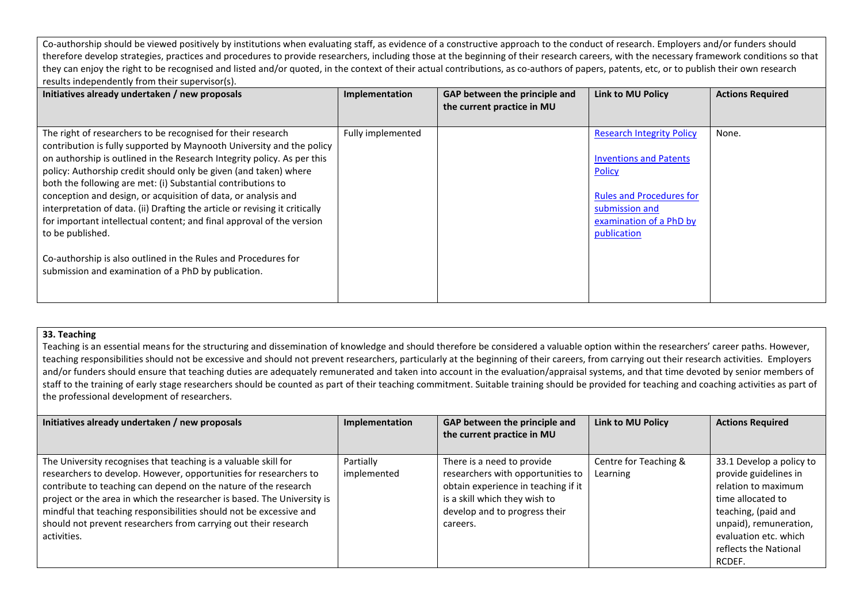Co-authorship should be viewed positively by institutions when evaluating staff, as evidence of a constructive approach to the conduct of research. Employers and/or funders should therefore develop strategies, practices and procedures to provide researchers, including those at the beginning of their research careers, with the necessary framework conditions so that they can enjoy the right to be recognised and listed and/or quoted, in the context of their actual contributions, as co-authors of papers, patents, etc, or to publish their own research results independently from their supervisor(s).

| Initiatives already undertaken / new proposals                                                                                                                                                                                                                                                                                                                                                                                                                                                                                                                                                     | Implementation    | GAP between the principle and<br>the current practice in MU | <b>Link to MU Policy</b>                                                                                                                                                          | <b>Actions Required</b> |
|----------------------------------------------------------------------------------------------------------------------------------------------------------------------------------------------------------------------------------------------------------------------------------------------------------------------------------------------------------------------------------------------------------------------------------------------------------------------------------------------------------------------------------------------------------------------------------------------------|-------------------|-------------------------------------------------------------|-----------------------------------------------------------------------------------------------------------------------------------------------------------------------------------|-------------------------|
| The right of researchers to be recognised for their research<br>contribution is fully supported by Maynooth University and the policy<br>on authorship is outlined in the Research Integrity policy. As per this<br>policy: Authorship credit should only be given (and taken) where<br>both the following are met: (i) Substantial contributions to<br>conception and design, or acquisition of data, or analysis and<br>interpretation of data. (ii) Drafting the article or revising it critically<br>for important intellectual content; and final approval of the version<br>to be published. | Fully implemented |                                                             | <b>Research Integrity Policy</b><br><b>Inventions and Patents</b><br><b>Policy</b><br><b>Rules and Procedures for</b><br>submission and<br>examination of a PhD by<br>publication | None.                   |
| Co-authorship is also outlined in the Rules and Procedures for<br>submission and examination of a PhD by publication.                                                                                                                                                                                                                                                                                                                                                                                                                                                                              |                   |                                                             |                                                                                                                                                                                   |                         |

#### **33. Teaching**

Teaching is an essential means for the structuring and dissemination of knowledge and should therefore be considered a valuable option within the researchers' career paths. However, teaching responsibilities should not be excessive and should not prevent researchers, particularly at the beginning of their careers, from carrying out their research activities. Employers and/or funders should ensure that teaching duties are adequately remunerated and taken into account in the evaluation/appraisal systems, and that time devoted by senior members of staff to the training of early stage researchers should be counted as part of their teaching commitment. Suitable training should be provided for teaching and coaching activities as part of the professional development of researchers.

| Initiatives already undertaken / new proposals                                                                                                                                                                                                                                                                                                                                                                                             | Implementation           | GAP between the principle and<br>the current practice in MU                                                                                                                          | <b>Link to MU Policy</b>          | <b>Actions Required</b>                                                                                                                                                                                    |
|--------------------------------------------------------------------------------------------------------------------------------------------------------------------------------------------------------------------------------------------------------------------------------------------------------------------------------------------------------------------------------------------------------------------------------------------|--------------------------|--------------------------------------------------------------------------------------------------------------------------------------------------------------------------------------|-----------------------------------|------------------------------------------------------------------------------------------------------------------------------------------------------------------------------------------------------------|
| The University recognises that teaching is a valuable skill for<br>researchers to develop. However, opportunities for researchers to<br>contribute to teaching can depend on the nature of the research<br>project or the area in which the researcher is based. The University is<br>mindful that teaching responsibilities should not be excessive and<br>should not prevent researchers from carrying out their research<br>activities. | Partially<br>implemented | There is a need to provide<br>researchers with opportunities to<br>obtain experience in teaching if it<br>is a skill which they wish to<br>develop and to progress their<br>careers. | Centre for Teaching &<br>Learning | 33.1 Develop a policy to<br>provide guidelines in<br>relation to maximum<br>time allocated to<br>teaching, (paid and<br>unpaid), remuneration,<br>evaluation etc. which<br>reflects the National<br>RCDEF. |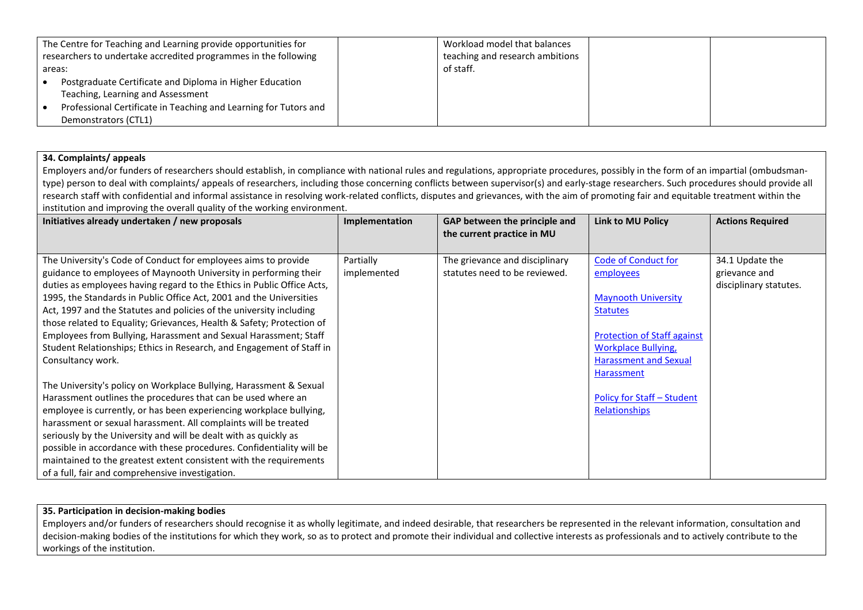|          | The Centre for Teaching and Learning provide opportunities for   | Workload model that balances    |  |
|----------|------------------------------------------------------------------|---------------------------------|--|
|          | researchers to undertake accredited programmes in the following  | teaching and research ambitions |  |
| l areas: |                                                                  | of staff.                       |  |
|          | Postgraduate Certificate and Diploma in Higher Education         |                                 |  |
|          | Teaching, Learning and Assessment                                |                                 |  |
|          | Professional Certificate in Teaching and Learning for Tutors and |                                 |  |
|          | Demonstrators (CTL1)                                             |                                 |  |

## **34. Complaints/ appeals**

Employers and/or funders of researchers should establish, in compliance with national rules and regulations, appropriate procedures, possibly in the form of an impartial (ombudsmantype) person to deal with complaints/ appeals of researchers, including those concerning conflicts between supervisor(s) and early-stage researchers. Such procedures should provide all research staff with confidential and informal assistance in resolving work-related conflicts, disputes and grievances, with the aim of promoting fair and equitable treatment within the institution and improving the overall quality of the working environment.

| Initiatives already undertaken / new proposals                                                                                                                                                                                                                                                                                                                                                                                                                                                                                                      | Implementation           | GAP between the principle and                                   | <b>Link to MU Policy</b>                                                                                       | <b>Actions Required</b>                                    |
|-----------------------------------------------------------------------------------------------------------------------------------------------------------------------------------------------------------------------------------------------------------------------------------------------------------------------------------------------------------------------------------------------------------------------------------------------------------------------------------------------------------------------------------------------------|--------------------------|-----------------------------------------------------------------|----------------------------------------------------------------------------------------------------------------|------------------------------------------------------------|
|                                                                                                                                                                                                                                                                                                                                                                                                                                                                                                                                                     |                          | the current practice in MU                                      |                                                                                                                |                                                            |
| The University's Code of Conduct for employees aims to provide<br>guidance to employees of Maynooth University in performing their<br>duties as employees having regard to the Ethics in Public Office Acts,<br>1995, the Standards in Public Office Act, 2001 and the Universities<br>Act, 1997 and the Statutes and policies of the university including                                                                                                                                                                                          | Partially<br>implemented | The grievance and disciplinary<br>statutes need to be reviewed. | <b>Code of Conduct for</b><br>employees<br><b>Maynooth University</b><br><b>Statutes</b>                       | 34.1 Update the<br>grievance and<br>disciplinary statutes. |
| those related to Equality; Grievances, Health & Safety; Protection of<br>Employees from Bullying, Harassment and Sexual Harassment; Staff<br>Student Relationships; Ethics in Research, and Engagement of Staff in<br>Consultancy work.                                                                                                                                                                                                                                                                                                             |                          |                                                                 | <b>Protection of Staff against</b><br><b>Workplace Bullying,</b><br><b>Harassment and Sexual</b><br>Harassment |                                                            |
| The University's policy on Workplace Bullying, Harassment & Sexual<br>Harassment outlines the procedures that can be used where an<br>employee is currently, or has been experiencing workplace bullying,<br>harassment or sexual harassment. All complaints will be treated<br>seriously by the University and will be dealt with as quickly as<br>possible in accordance with these procedures. Confidentiality will be<br>maintained to the greatest extent consistent with the requirements<br>of a full, fair and comprehensive investigation. |                          |                                                                 | Policy for Staff – Student<br>Relationships                                                                    |                                                            |

#### **35. Participation in decision-making bodies**

Employers and/or funders of researchers should recognise it as wholly legitimate, and indeed desirable, that researchers be represented in the relevant information, consultation and decision-making bodies of the institutions for which they work, so as to protect and promote their individual and collective interests as professionals and to actively contribute to the workings of the institution.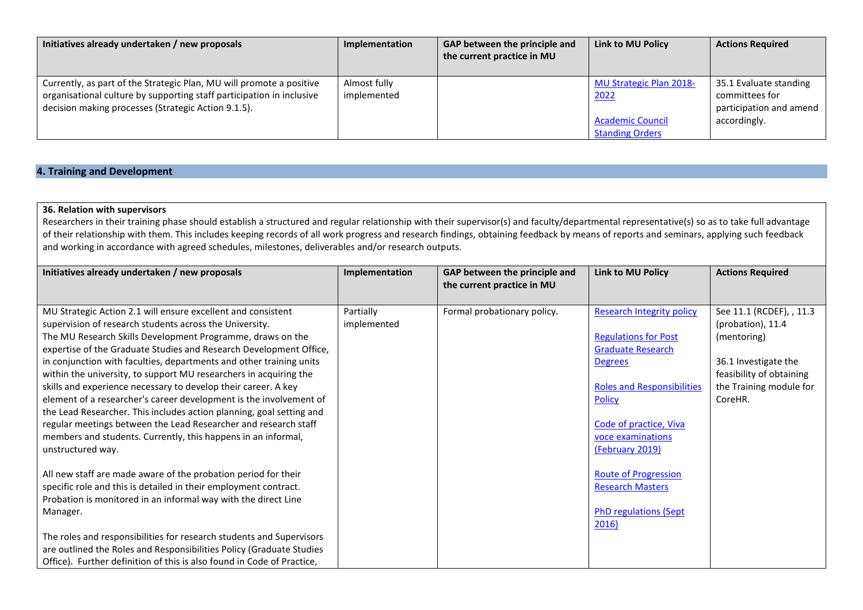| Initiatives already undertaken / new proposals                                                                                                                                                       | Implementation              | <b>GAP between the principle and</b><br>the current practice in MU | Link to MU Policy                                                                           | <b>Actions Required</b>                                                             |
|------------------------------------------------------------------------------------------------------------------------------------------------------------------------------------------------------|-----------------------------|--------------------------------------------------------------------|---------------------------------------------------------------------------------------------|-------------------------------------------------------------------------------------|
| Currently, as part of the Strategic Plan, MU will promote a positive<br>organisational culture by supporting staff participation in inclusive<br>decision making processes (Strategic Action 9.1.5). | Almost fully<br>implemented |                                                                    | <b>MU Strategic Plan 2018-</b><br>2022<br><b>Academic Council</b><br><b>Standing Orders</b> | 35.1 Evaluate standing<br>committees for<br>participation and amend<br>accordingly. |

# **4. Training and Development**

## **36. Relation with supervisors**

Researchers in their training phase should establish a structured and regular relationship with their supervisor(s) and faculty/departmental representative(s) so as to take full advantage of their relationship with them. This includes keeping records of all work progress and research findings, obtaining feedback by means of reports and seminars, applying such feedback and working in accordance with agreed schedules, milestones, deliverables and/or research outputs.

| Initiatives already undertaken / new proposals                         | Implementation | GAP between the principle and<br>the current practice in MU | <b>Link to MU Policy</b>          | <b>Actions Required</b>  |
|------------------------------------------------------------------------|----------------|-------------------------------------------------------------|-----------------------------------|--------------------------|
|                                                                        |                |                                                             |                                   |                          |
| MU Strategic Action 2.1 will ensure excellent and consistent           | Partially      | Formal probationary policy.                                 | <b>Research Integrity policy</b>  | See 11.1 (RCDEF), , 11.3 |
| supervision of research students across the University.                | implemented    |                                                             |                                   | (probation), 11.4        |
| The MU Research Skills Development Programme, draws on the             |                |                                                             | <b>Regulations for Post</b>       | (mentoring)              |
| expertise of the Graduate Studies and Research Development Office,     |                |                                                             | <b>Graduate Research</b>          |                          |
| in conjunction with faculties, departments and other training units    |                |                                                             | <b>Degrees</b>                    | 36.1 Investigate the     |
| within the university, to support MU researchers in acquiring the      |                |                                                             |                                   | feasibility of obtaining |
| skills and experience necessary to develop their career. A key         |                |                                                             | <b>Roles and Responsibilities</b> | the Training module for  |
| element of a researcher's career development is the involvement of     |                |                                                             | <b>Policy</b>                     | CoreHR.                  |
| the Lead Researcher. This includes action planning, goal setting and   |                |                                                             |                                   |                          |
| regular meetings between the Lead Researcher and research staff        |                |                                                             | Code of practice, Viva            |                          |
| members and students. Currently, this happens in an informal,          |                |                                                             | voce examinations                 |                          |
| unstructured way.                                                      |                |                                                             | (February 2019)                   |                          |
|                                                                        |                |                                                             |                                   |                          |
| All new staff are made aware of the probation period for their         |                |                                                             | <b>Route of Progression</b>       |                          |
| specific role and this is detailed in their employment contract.       |                |                                                             | <b>Research Masters</b>           |                          |
| Probation is monitored in an informal way with the direct Line         |                |                                                             |                                   |                          |
| Manager.                                                               |                |                                                             | <b>PhD regulations (Sept</b>      |                          |
|                                                                        |                |                                                             | 2016)                             |                          |
| The roles and responsibilities for research students and Supervisors   |                |                                                             |                                   |                          |
| are outlined the Roles and Responsibilities Policy (Graduate Studies   |                |                                                             |                                   |                          |
| Office). Further definition of this is also found in Code of Practice, |                |                                                             |                                   |                          |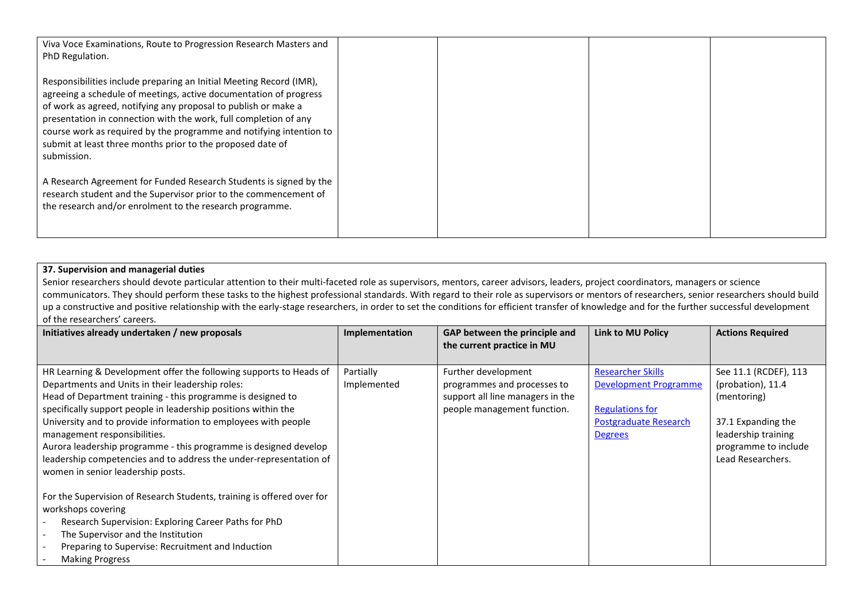| Viva Voce Examinations, Route to Progression Research Masters and<br>PhD Regulation.                                                                                                                                                                                                                                                                                                                                               |  |  |
|------------------------------------------------------------------------------------------------------------------------------------------------------------------------------------------------------------------------------------------------------------------------------------------------------------------------------------------------------------------------------------------------------------------------------------|--|--|
| Responsibilities include preparing an Initial Meeting Record (IMR),<br>agreeing a schedule of meetings, active documentation of progress<br>of work as agreed, notifying any proposal to publish or make a<br>presentation in connection with the work, full completion of any<br>course work as required by the programme and notifying intention to<br>submit at least three months prior to the proposed date of<br>submission. |  |  |
| A Research Agreement for Funded Research Students is signed by the<br>research student and the Supervisor prior to the commencement of<br>the research and/or enrolment to the research programme.                                                                                                                                                                                                                                 |  |  |

## **37. Supervision and managerial duties**

Senior researchers should devote particular attention to their multi-faceted role as supervisors, mentors, career advisors, leaders, project coordinators, managers or science communicators. They should perform these tasks to the highest professional standards. With regard to their role as supervisors or mentors of researchers, senior researchers should build up a constructive and positive relationship with the early-stage researchers, in order to set the conditions for efficient transfer of knowledge and for the further successful development of the researchers' careers.

| Initiatives already undertaken / new proposals                                                                                                                                                                                                                                                                                                                                                                                                                                                                                           | Implementation           | GAP between the principle and<br>the current practice in MU                                                           | <b>Link to MU Policy</b>                                                                                               | <b>Actions Required</b>                                                                                                                             |
|------------------------------------------------------------------------------------------------------------------------------------------------------------------------------------------------------------------------------------------------------------------------------------------------------------------------------------------------------------------------------------------------------------------------------------------------------------------------------------------------------------------------------------------|--------------------------|-----------------------------------------------------------------------------------------------------------------------|------------------------------------------------------------------------------------------------------------------------|-----------------------------------------------------------------------------------------------------------------------------------------------------|
|                                                                                                                                                                                                                                                                                                                                                                                                                                                                                                                                          |                          |                                                                                                                       |                                                                                                                        |                                                                                                                                                     |
| HR Learning & Development offer the following supports to Heads of<br>Departments and Units in their leadership roles:<br>Head of Department training - this programme is designed to<br>specifically support people in leadership positions within the<br>University and to provide information to employees with people<br>management responsibilities.<br>Aurora leadership programme - this programme is designed develop<br>leadership competencies and to address the under-representation of<br>women in senior leadership posts. | Partially<br>Implemented | Further development<br>programmes and processes to<br>support all line managers in the<br>people management function. | <b>Researcher Skills</b><br>Development Programme<br><b>Regulations for</b><br>Postgraduate Research<br><b>Degrees</b> | See 11.1 (RCDEF), 113<br>(probation), 11.4<br>(mentoring)<br>37.1 Expanding the<br>leadership training<br>programme to include<br>Lead Researchers. |
| For the Supervision of Research Students, training is offered over for<br>workshops covering<br>Research Supervision: Exploring Career Paths for PhD<br>The Supervisor and the Institution<br>Preparing to Supervise: Recruitment and Induction<br><b>Making Progress</b>                                                                                                                                                                                                                                                                |                          |                                                                                                                       |                                                                                                                        |                                                                                                                                                     |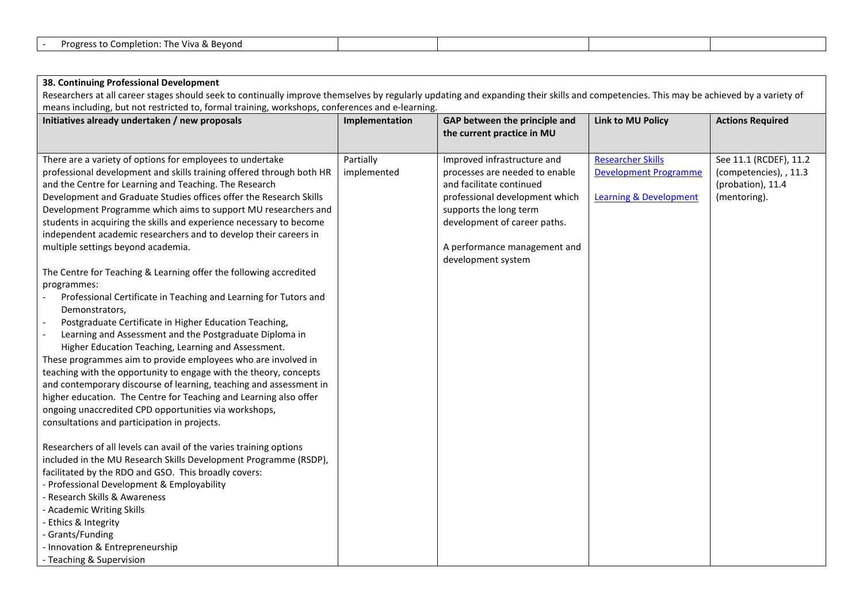|  | ι Bevond<br>letion:<br>The Viva &<br>Progre<br>$-$<br>comp'<br>$\sim$ |  |  |  |  |
|--|-----------------------------------------------------------------------|--|--|--|--|
|--|-----------------------------------------------------------------------|--|--|--|--|

## **38. Continuing Professional Development**

Researchers at all career stages should seek to continually improve themselves by regularly updating and expanding their skills and competencies. This may be achieved by a variety of means including, but not restricted to, formal training, workshops, conferences and e-learning.

| Initiatives already undertaken / new proposals                       | Implementation | GAP between the principle and  | <b>Link to MU Policy</b>          | <b>Actions Required</b> |
|----------------------------------------------------------------------|----------------|--------------------------------|-----------------------------------|-------------------------|
|                                                                      |                | the current practice in MU     |                                   |                         |
|                                                                      |                |                                |                                   |                         |
| There are a variety of options for employees to undertake            | Partially      | Improved infrastructure and    | <b>Researcher Skills</b>          | See 11.1 (RCDEF), 11.2  |
| professional development and skills training offered through both HR | implemented    | processes are needed to enable | <b>Development Programme</b>      | (competencies), , 11.3  |
| and the Centre for Learning and Teaching. The Research               |                | and facilitate continued       |                                   | (probation), 11.4       |
| Development and Graduate Studies offices offer the Research Skills   |                | professional development which | <b>Learning &amp; Development</b> | (mentoring).            |
| Development Programme which aims to support MU researchers and       |                | supports the long term         |                                   |                         |
| students in acquiring the skills and experience necessary to become  |                | development of career paths.   |                                   |                         |
| independent academic researchers and to develop their careers in     |                |                                |                                   |                         |
| multiple settings beyond academia.                                   |                | A performance management and   |                                   |                         |
|                                                                      |                | development system             |                                   |                         |
| The Centre for Teaching & Learning offer the following accredited    |                |                                |                                   |                         |
| programmes:                                                          |                |                                |                                   |                         |
| Professional Certificate in Teaching and Learning for Tutors and     |                |                                |                                   |                         |
| Demonstrators,                                                       |                |                                |                                   |                         |
| Postgraduate Certificate in Higher Education Teaching,               |                |                                |                                   |                         |
| Learning and Assessment and the Postgraduate Diploma in              |                |                                |                                   |                         |
| Higher Education Teaching, Learning and Assessment.                  |                |                                |                                   |                         |
| These programmes aim to provide employees who are involved in        |                |                                |                                   |                         |
| teaching with the opportunity to engage with the theory, concepts    |                |                                |                                   |                         |
| and contemporary discourse of learning, teaching and assessment in   |                |                                |                                   |                         |
| higher education. The Centre for Teaching and Learning also offer    |                |                                |                                   |                         |
| ongoing unaccredited CPD opportunities via workshops,                |                |                                |                                   |                         |
| consultations and participation in projects.                         |                |                                |                                   |                         |
|                                                                      |                |                                |                                   |                         |
| Researchers of all levels can avail of the varies training options   |                |                                |                                   |                         |
| included in the MU Research Skills Development Programme (RSDP),     |                |                                |                                   |                         |
| facilitated by the RDO and GSO. This broadly covers:                 |                |                                |                                   |                         |
| - Professional Development & Employability                           |                |                                |                                   |                         |
| - Research Skills & Awareness                                        |                |                                |                                   |                         |
| - Academic Writing Skills                                            |                |                                |                                   |                         |
| - Ethics & Integrity                                                 |                |                                |                                   |                         |
| - Grants/Funding                                                     |                |                                |                                   |                         |
| - Innovation & Entrepreneurship                                      |                |                                |                                   |                         |
| - Teaching & Supervision                                             |                |                                |                                   |                         |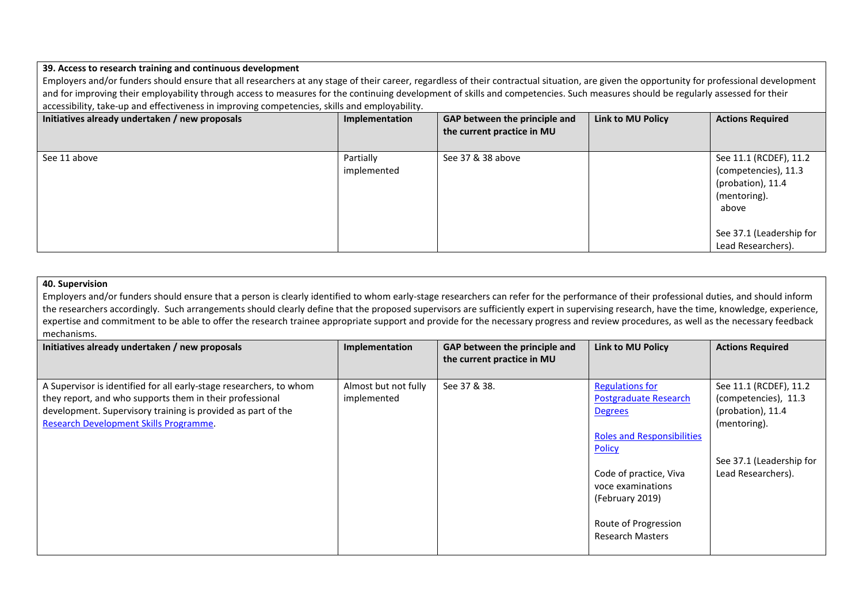### **39. Access to research training and continuous development**

Employers and/or funders should ensure that all researchers at any stage of their career, regardless of their contractual situation, are given the opportunity for professional development and for improving their employability through access to measures for the continuing development of skills and competencies. Such measures should be regularly assessed for their accessibility, take-up and effectiveness in improving competencies, skills and employability.

| Initiatives already undertaken / new proposals | Implementation           | GAP between the principle and<br>the current practice in MU | Link to MU Policy | <b>Actions Required</b>                                                                                                                        |
|------------------------------------------------|--------------------------|-------------------------------------------------------------|-------------------|------------------------------------------------------------------------------------------------------------------------------------------------|
| See 11 above                                   | Partially<br>implemented | See 37 & 38 above                                           |                   | See 11.1 (RCDEF), 11.2<br>(competencies), 11.3<br>(probation), 11.4<br>(mentoring).<br>above<br>See 37.1 (Leadership for<br>Lead Researchers). |

#### **40. Supervision**

Employers and/or funders should ensure that a person is clearly identified to whom early-stage researchers can refer for the performance of their professional duties, and should inform the researchers accordingly. Such arrangements should clearly define that the proposed supervisors are sufficiently expert in supervising research, have the time, knowledge, experience, expertise and commitment to be able to offer the research trainee appropriate support and provide for the necessary progress and review procedures, as well as the necessary feedback mechanisms.

| Initiatives already undertaken / new proposals                                                                                                                                                                                            | Implementation                      | GAP between the principle and<br>the current practice in MU | <b>Link to MU Policy</b>                                                                                                                                                                         | <b>Actions Required</b>                                                                                                               |
|-------------------------------------------------------------------------------------------------------------------------------------------------------------------------------------------------------------------------------------------|-------------------------------------|-------------------------------------------------------------|--------------------------------------------------------------------------------------------------------------------------------------------------------------------------------------------------|---------------------------------------------------------------------------------------------------------------------------------------|
| A Supervisor is identified for all early-stage researchers, to whom<br>they report, and who supports them in their professional<br>development. Supervisory training is provided as part of the<br>Research Development Skills Programme. | Almost but not fully<br>implemented | See 37 & 38.                                                | <b>Regulations for</b><br><b>Postgraduate Research</b><br><b>Degrees</b><br><b>Roles and Responsibilities</b><br><b>Policy</b><br>Code of practice, Viva<br>voce examinations<br>(February 2019) | See 11.1 (RCDEF), 11.2<br>(competencies), 11.3<br>(probation), 11.4<br>(mentoring).<br>See 37.1 (Leadership for<br>Lead Researchers). |
|                                                                                                                                                                                                                                           |                                     |                                                             | Route of Progression<br><b>Research Masters</b>                                                                                                                                                  |                                                                                                                                       |